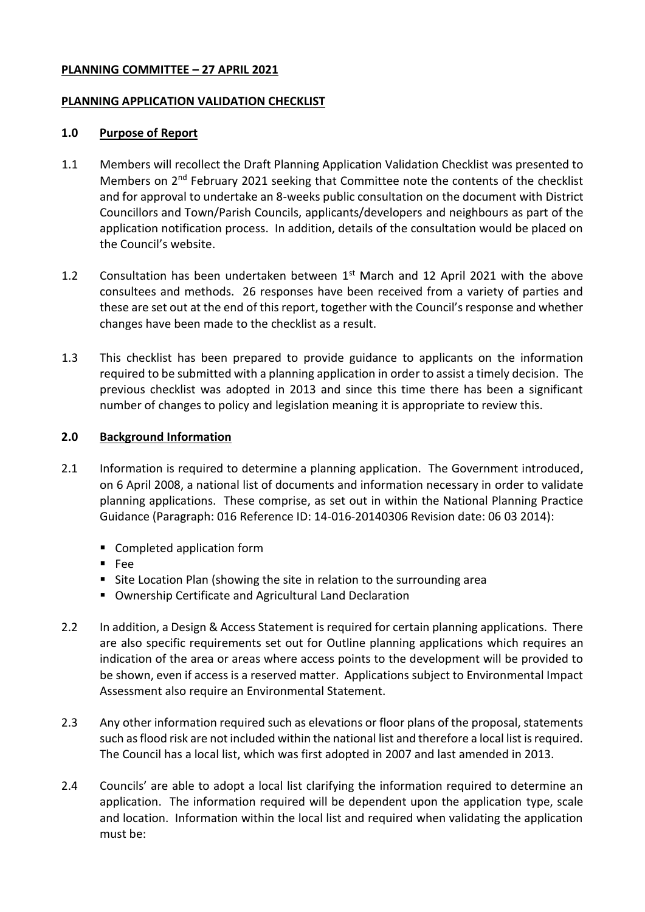## **PLANNING COMMITTEE – 27 APRIL 2021**

### **PLANNING APPLICATION VALIDATION CHECKLIST**

### **1.0 Purpose of Report**

- 1.1 Members will recollect the Draft Planning Application Validation Checklist was presented to Members on 2nd February 2021 seeking that Committee note the contents of the checklist and for approval to undertake an 8-weeks public consultation on the document with District Councillors and Town/Parish Councils, applicants/developers and neighbours as part of the application notification process. In addition, details of the consultation would be placed on the Council's website.
- 1.2 Consultation has been undertaken between  $1<sup>st</sup>$  March and 12 April 2021 with the above consultees and methods. 26 responses have been received from a variety of parties and these are set out at the end of this report, together with the Council's response and whether changes have been made to the checklist as a result.
- 1.3 This checklist has been prepared to provide guidance to applicants on the information required to be submitted with a planning application in order to assist a timely decision. The previous checklist was adopted in 2013 and since this time there has been a significant number of changes to policy and legislation meaning it is appropriate to review this.

#### **2.0 Background Information**

- 2.1 Information is required to determine a planning application. The Government introduced, on 6 April 2008, a national list of documents and information necessary in order to validate planning applications. These comprise, as set out in within the National Planning Practice Guidance (Paragraph: 016 Reference ID: 14-016-20140306 Revision date: 06 03 2014):
	- Completed application form
	- Fee
	- Site Location Plan (showing the site in relation to the surrounding area
	- Ownership Certificate and Agricultural Land Declaration
- 2.2 In addition, a Design & Access Statement is required for certain planning applications. There are also specific requirements set out for Outline planning applications which requires an indication of the area or areas where access points to the development will be provided to be shown, even if access is a reserved matter. Applications subject to Environmental Impact Assessment also require an Environmental Statement.
- 2.3 Any other information required such as elevations or floor plans of the proposal, statements such as flood risk are not included within the national list and therefore a local list is required. The Council has a local list, which was first adopted in 2007 and last amended in 2013.
- 2.4 Councils' are able to adopt a local list clarifying the information required to determine an application. The information required will be dependent upon the application type, scale and location. Information within the local list and required when validating the application must be: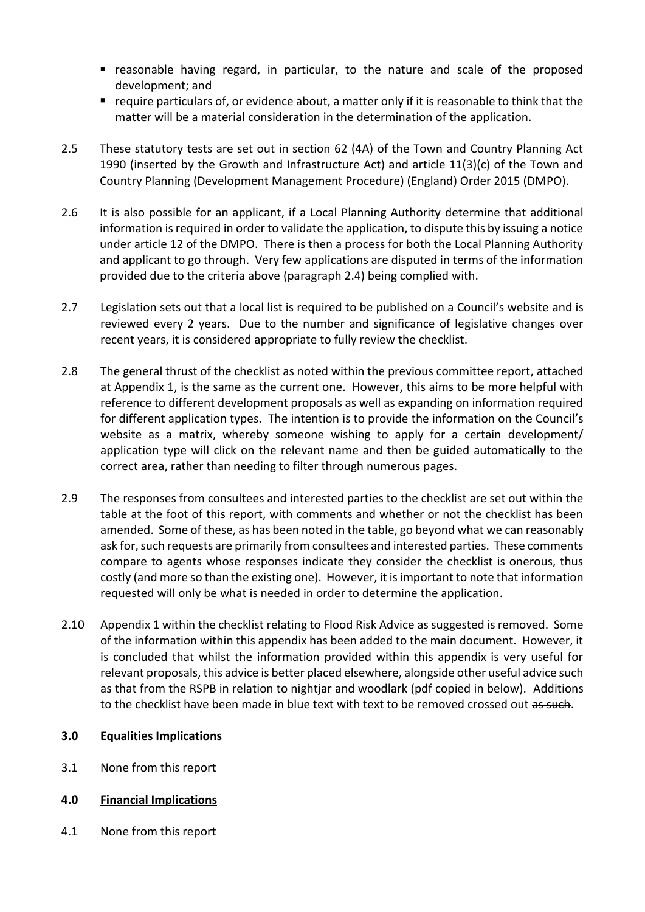- reasonable having regard, in particular, to the nature and scale of the proposed development; and
- require particulars of, or evidence about, a matter only if it is reasonable to think that the matter will be a material consideration in the determination of the application.
- 2.5 These statutory tests are set out in section 62 (4A) of the Town and Country Planning Act 1990 (inserted by the Growth and Infrastructure Act) and article 11(3)(c) of the Town and Country Planning (Development Management Procedure) (England) Order 2015 (DMPO).
- 2.6 It is also possible for an applicant, if a Local Planning Authority determine that additional information is required in order to validate the application, to dispute this by issuing a notice under article 12 of the DMPO. There is then a process for both the Local Planning Authority and applicant to go through. Very few applications are disputed in terms of the information provided due to the criteria above (paragraph 2.4) being complied with.
- 2.7 Legislation sets out that a local list is required to be published on a Council's website and is reviewed every 2 years. Due to the number and significance of legislative changes over recent years, it is considered appropriate to fully review the checklist.
- 2.8 The general thrust of the checklist as noted within the previous committee report, attached at Appendix 1, is the same as the current one. However, this aims to be more helpful with reference to different development proposals as well as expanding on information required for different application types. The intention is to provide the information on the Council's website as a matrix, whereby someone wishing to apply for a certain development/ application type will click on the relevant name and then be guided automatically to the correct area, rather than needing to filter through numerous pages.
- 2.9 The responses from consultees and interested parties to the checklist are set out within the table at the foot of this report, with comments and whether or not the checklist has been amended. Some of these, as has been noted in the table, go beyond what we can reasonably ask for, such requests are primarily from consultees and interested parties. These comments compare to agents whose responses indicate they consider the checklist is onerous, thus costly (and more so than the existing one). However, it is important to note that information requested will only be what is needed in order to determine the application.
- 2.10 Appendix 1 within the checklist relating to Flood Risk Advice as suggested is removed. Some of the information within this appendix has been added to the main document. However, it is concluded that whilst the information provided within this appendix is very useful for relevant proposals, this advice is better placed elsewhere, alongside other useful advice such as that from the RSPB in relation to nightjar and woodlark (pdf copied in below). Additions to the checklist have been made in blue text with text to be removed crossed out as such.

# **3.0 Equalities Implications**

3.1 None from this report

# **4.0 Financial Implications**

4.1 None from this report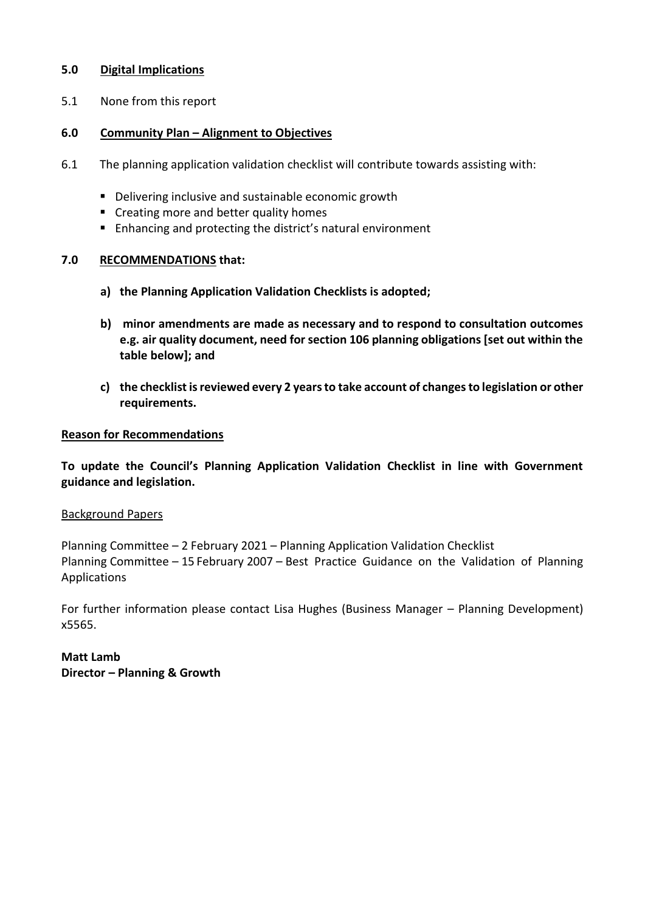## **5.0 Digital Implications**

5.1 None from this report

## **6.0 Community Plan – Alignment to Objectives**

- 6.1 The planning application validation checklist will contribute towards assisting with:
	- Delivering inclusive and sustainable economic growth
	- Creating more and better quality homes
	- Enhancing and protecting the district's natural environment

## **7.0 RECOMMENDATIONS that:**

- **a) the Planning Application Validation Checklists is adopted;**
- **b) minor amendments are made as necessary and to respond to consultation outcomes e.g. air quality document, need for section 106 planning obligations [set out within the table below]; and**
- **c) the checklist is reviewed every 2 years to take account of changes to legislation or other requirements.**

## **Reason for Recommendations**

**To update the Council's Planning Application Validation Checklist in line with Government guidance and legislation.** 

## Background Papers

Planning Committee – 2 February 2021 – Planning Application Validation Checklist Planning Committee – 15 February 2007 – Best Practice Guidance on the Validation of Planning Applications

For further information please contact Lisa Hughes (Business Manager – Planning Development) x5565.

**Matt Lamb Director – Planning & Growth**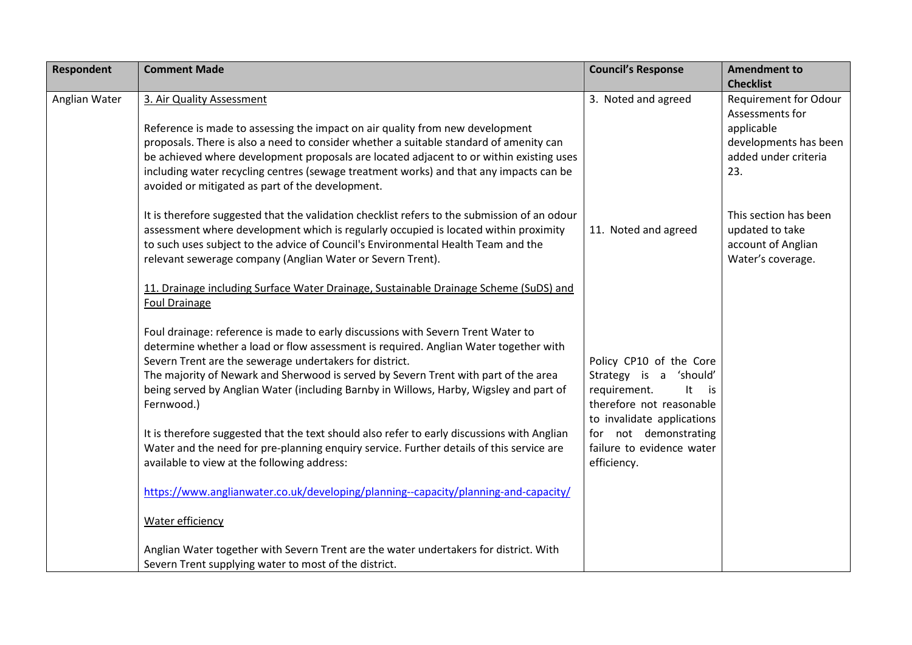| <b>Respondent</b> | <b>Comment Made</b>                                                                                                                                                                                                                                                                                                                                                                                                                                                                                                               | <b>Council's Response</b>                                                                                                                                        | <b>Amendment to</b><br><b>Checklist</b>                                                                               |
|-------------------|-----------------------------------------------------------------------------------------------------------------------------------------------------------------------------------------------------------------------------------------------------------------------------------------------------------------------------------------------------------------------------------------------------------------------------------------------------------------------------------------------------------------------------------|------------------------------------------------------------------------------------------------------------------------------------------------------------------|-----------------------------------------------------------------------------------------------------------------------|
| Anglian Water     | 3. Air Quality Assessment<br>Reference is made to assessing the impact on air quality from new development<br>proposals. There is also a need to consider whether a suitable standard of amenity can<br>be achieved where development proposals are located adjacent to or within existing uses<br>including water recycling centres (sewage treatment works) and that any impacts can be<br>avoided or mitigated as part of the development.                                                                                     | 3. Noted and agreed                                                                                                                                              | <b>Requirement for Odour</b><br>Assessments for<br>applicable<br>developments has been<br>added under criteria<br>23. |
|                   | It is therefore suggested that the validation checklist refers to the submission of an odour<br>assessment where development which is regularly occupied is located within proximity<br>to such uses subject to the advice of Council's Environmental Health Team and the<br>relevant sewerage company (Anglian Water or Severn Trent).                                                                                                                                                                                           | 11. Noted and agreed                                                                                                                                             | This section has been<br>updated to take<br>account of Anglian<br>Water's coverage.                                   |
|                   | 11. Drainage including Surface Water Drainage, Sustainable Drainage Scheme (SuDS) and<br><b>Foul Drainage</b>                                                                                                                                                                                                                                                                                                                                                                                                                     |                                                                                                                                                                  |                                                                                                                       |
|                   | Foul drainage: reference is made to early discussions with Severn Trent Water to<br>determine whether a load or flow assessment is required. Anglian Water together with<br>Severn Trent are the sewerage undertakers for district.<br>The majority of Newark and Sherwood is served by Severn Trent with part of the area<br>being served by Anglian Water (including Barnby in Willows, Harby, Wigsley and part of<br>Fernwood.)<br>It is therefore suggested that the text should also refer to early discussions with Anglian | Policy CP10 of the Core<br>Strategy is a 'should'<br>requirement.<br>It<br>is<br>therefore not reasonable<br>to invalidate applications<br>for not demonstrating |                                                                                                                       |
|                   | Water and the need for pre-planning enquiry service. Further details of this service are<br>available to view at the following address:                                                                                                                                                                                                                                                                                                                                                                                           | failure to evidence water<br>efficiency.                                                                                                                         |                                                                                                                       |
|                   | https://www.anglianwater.co.uk/developing/planning--capacity/planning-and-capacity/<br>Water efficiency                                                                                                                                                                                                                                                                                                                                                                                                                           |                                                                                                                                                                  |                                                                                                                       |
|                   | Anglian Water together with Severn Trent are the water undertakers for district. With<br>Severn Trent supplying water to most of the district.                                                                                                                                                                                                                                                                                                                                                                                    |                                                                                                                                                                  |                                                                                                                       |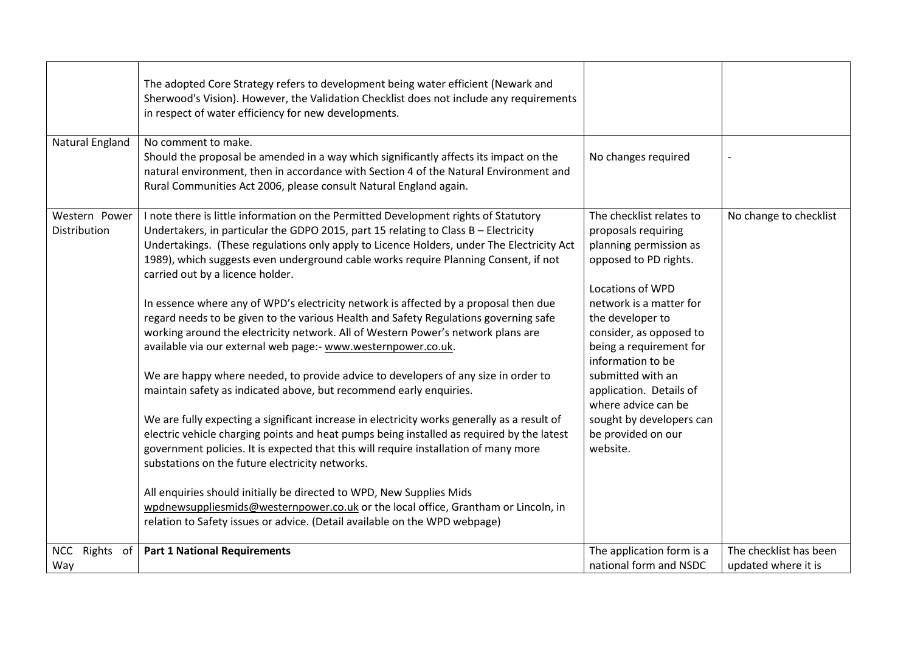|                               | The adopted Core Strategy refers to development being water efficient (Newark and<br>Sherwood's Vision). However, the Validation Checklist does not include any requirements<br>in respect of water efficiency for new developments.                                                                                                                                                                                                                                                                                                                                                                                                                                                                                                                                                                                                                                                                                                                                                                                                                                                                                                                                                                                                                                                                                                                                                                                                                                                   |                                                                                                                                                                                                                                                                                                                                                                                              |                                               |
|-------------------------------|----------------------------------------------------------------------------------------------------------------------------------------------------------------------------------------------------------------------------------------------------------------------------------------------------------------------------------------------------------------------------------------------------------------------------------------------------------------------------------------------------------------------------------------------------------------------------------------------------------------------------------------------------------------------------------------------------------------------------------------------------------------------------------------------------------------------------------------------------------------------------------------------------------------------------------------------------------------------------------------------------------------------------------------------------------------------------------------------------------------------------------------------------------------------------------------------------------------------------------------------------------------------------------------------------------------------------------------------------------------------------------------------------------------------------------------------------------------------------------------|----------------------------------------------------------------------------------------------------------------------------------------------------------------------------------------------------------------------------------------------------------------------------------------------------------------------------------------------------------------------------------------------|-----------------------------------------------|
| <b>Natural England</b>        | No comment to make.<br>Should the proposal be amended in a way which significantly affects its impact on the<br>natural environment, then in accordance with Section 4 of the Natural Environment and<br>Rural Communities Act 2006, please consult Natural England again.                                                                                                                                                                                                                                                                                                                                                                                                                                                                                                                                                                                                                                                                                                                                                                                                                                                                                                                                                                                                                                                                                                                                                                                                             | No changes required                                                                                                                                                                                                                                                                                                                                                                          |                                               |
| Western Power<br>Distribution | I note there is little information on the Permitted Development rights of Statutory<br>Undertakers, in particular the GDPO 2015, part 15 relating to Class B - Electricity<br>Undertakings. (These regulations only apply to Licence Holders, under The Electricity Act<br>1989), which suggests even underground cable works require Planning Consent, if not<br>carried out by a licence holder.<br>In essence where any of WPD's electricity network is affected by a proposal then due<br>regard needs to be given to the various Health and Safety Regulations governing safe<br>working around the electricity network. All of Western Power's network plans are<br>available via our external web page:- www.westernpower.co.uk.<br>We are happy where needed, to provide advice to developers of any size in order to<br>maintain safety as indicated above, but recommend early enquiries.<br>We are fully expecting a significant increase in electricity works generally as a result of<br>electric vehicle charging points and heat pumps being installed as required by the latest<br>government policies. It is expected that this will require installation of many more<br>substations on the future electricity networks.<br>All enquiries should initially be directed to WPD, New Supplies Mids<br>wpdnewsuppliesmids@westernpower.co.uk or the local office, Grantham or Lincoln, in<br>relation to Safety issues or advice. (Detail available on the WPD webpage) | The checklist relates to<br>proposals requiring<br>planning permission as<br>opposed to PD rights.<br><b>Locations of WPD</b><br>network is a matter for<br>the developer to<br>consider, as opposed to<br>being a requirement for<br>information to be<br>submitted with an<br>application. Details of<br>where advice can be<br>sought by developers can<br>be provided on our<br>website. | No change to checklist                        |
| NCC Rights of<br>Way          | <b>Part 1 National Requirements</b>                                                                                                                                                                                                                                                                                                                                                                                                                                                                                                                                                                                                                                                                                                                                                                                                                                                                                                                                                                                                                                                                                                                                                                                                                                                                                                                                                                                                                                                    | The application form is a<br>national form and NSDC                                                                                                                                                                                                                                                                                                                                          | The checklist has been<br>updated where it is |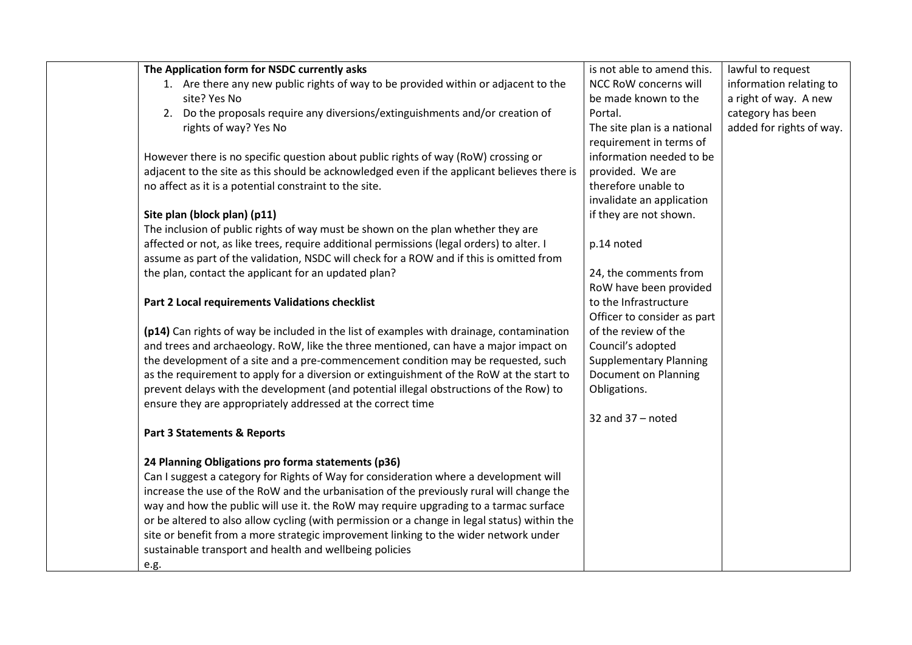| The Application form for NSDC currently asks                                                 | is not able to amend this.    | lawful to request        |
|----------------------------------------------------------------------------------------------|-------------------------------|--------------------------|
| 1. Are there any new public rights of way to be provided within or adjacent to the           | NCC RoW concerns will         | information relating to  |
| site? Yes No                                                                                 | be made known to the          | a right of way. A new    |
| 2. Do the proposals require any diversions/extinguishments and/or creation of                | Portal.                       | category has been        |
| rights of way? Yes No                                                                        | The site plan is a national   | added for rights of way. |
|                                                                                              | requirement in terms of       |                          |
| However there is no specific question about public rights of way (RoW) crossing or           | information needed to be      |                          |
| adjacent to the site as this should be acknowledged even if the applicant believes there is  | provided. We are              |                          |
| no affect as it is a potential constraint to the site.                                       | therefore unable to           |                          |
|                                                                                              | invalidate an application     |                          |
| Site plan (block plan) (p11)                                                                 | if they are not shown.        |                          |
| The inclusion of public rights of way must be shown on the plan whether they are             |                               |                          |
| affected or not, as like trees, require additional permissions (legal orders) to alter. I    | p.14 noted                    |                          |
| assume as part of the validation, NSDC will check for a ROW and if this is omitted from      |                               |                          |
| the plan, contact the applicant for an updated plan?                                         | 24, the comments from         |                          |
|                                                                                              | RoW have been provided        |                          |
| Part 2 Local requirements Validations checklist                                              | to the Infrastructure         |                          |
|                                                                                              | Officer to consider as part   |                          |
| (p14) Can rights of way be included in the list of examples with drainage, contamination     | of the review of the          |                          |
| and trees and archaeology. RoW, like the three mentioned, can have a major impact on         | Council's adopted             |                          |
| the development of a site and a pre-commencement condition may be requested, such            | <b>Supplementary Planning</b> |                          |
| as the requirement to apply for a diversion or extinguishment of the RoW at the start to     | Document on Planning          |                          |
| prevent delays with the development (and potential illegal obstructions of the Row) to       | Obligations.                  |                          |
| ensure they are appropriately addressed at the correct time                                  |                               |                          |
|                                                                                              | 32 and $37 -$ noted           |                          |
| <b>Part 3 Statements &amp; Reports</b>                                                       |                               |                          |
|                                                                                              |                               |                          |
| 24 Planning Obligations pro forma statements (p36)                                           |                               |                          |
| Can I suggest a category for Rights of Way for consideration where a development will        |                               |                          |
| increase the use of the RoW and the urbanisation of the previously rural will change the     |                               |                          |
| way and how the public will use it. the RoW may require upgrading to a tarmac surface        |                               |                          |
| or be altered to also allow cycling (with permission or a change in legal status) within the |                               |                          |
| site or benefit from a more strategic improvement linking to the wider network under         |                               |                          |
| sustainable transport and health and wellbeing policies                                      |                               |                          |
| e.g.                                                                                         |                               |                          |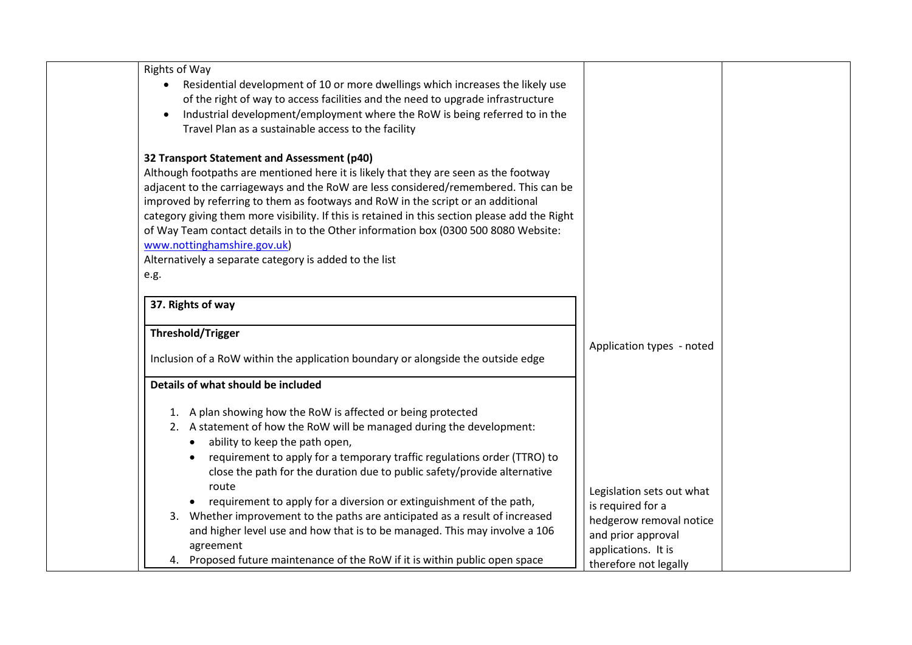| Rights of Way                                                                                                                                                                                                                                                                                                                                                                                                                                                                                                                                                                                             |                                                                                                                        |  |
|-----------------------------------------------------------------------------------------------------------------------------------------------------------------------------------------------------------------------------------------------------------------------------------------------------------------------------------------------------------------------------------------------------------------------------------------------------------------------------------------------------------------------------------------------------------------------------------------------------------|------------------------------------------------------------------------------------------------------------------------|--|
| • Residential development of 10 or more dwellings which increases the likely use<br>of the right of way to access facilities and the need to upgrade infrastructure<br>Industrial development/employment where the RoW is being referred to in the<br>$\bullet$<br>Travel Plan as a sustainable access to the facility                                                                                                                                                                                                                                                                                    |                                                                                                                        |  |
| 32 Transport Statement and Assessment (p40)<br>Although footpaths are mentioned here it is likely that they are seen as the footway<br>adjacent to the carriageways and the RoW are less considered/remembered. This can be<br>improved by referring to them as footways and RoW in the script or an additional<br>category giving them more visibility. If this is retained in this section please add the Right<br>of Way Team contact details in to the Other information box (0300 500 8080 Website:<br>www.nottinghamshire.gov.uk)<br>Alternatively a separate category is added to the list<br>e.g. |                                                                                                                        |  |
| 37. Rights of way                                                                                                                                                                                                                                                                                                                                                                                                                                                                                                                                                                                         |                                                                                                                        |  |
| <b>Threshold/Trigger</b>                                                                                                                                                                                                                                                                                                                                                                                                                                                                                                                                                                                  |                                                                                                                        |  |
| Inclusion of a RoW within the application boundary or alongside the outside edge                                                                                                                                                                                                                                                                                                                                                                                                                                                                                                                          | Application types - noted                                                                                              |  |
| Details of what should be included                                                                                                                                                                                                                                                                                                                                                                                                                                                                                                                                                                        |                                                                                                                        |  |
| 1. A plan showing how the RoW is affected or being protected<br>2. A statement of how the RoW will be managed during the development:<br>ability to keep the path open,<br>requirement to apply for a temporary traffic regulations order (TTRO) to                                                                                                                                                                                                                                                                                                                                                       |                                                                                                                        |  |
| close the path for the duration due to public safety/provide alternative<br>route<br>requirement to apply for a diversion or extinguishment of the path,<br>$\bullet$<br>3. Whether improvement to the paths are anticipated as a result of increased<br>and higher level use and how that is to be managed. This may involve a 106<br>agreement                                                                                                                                                                                                                                                          | Legislation sets out what<br>is required for a<br>hedgerow removal notice<br>and prior approval<br>applications. It is |  |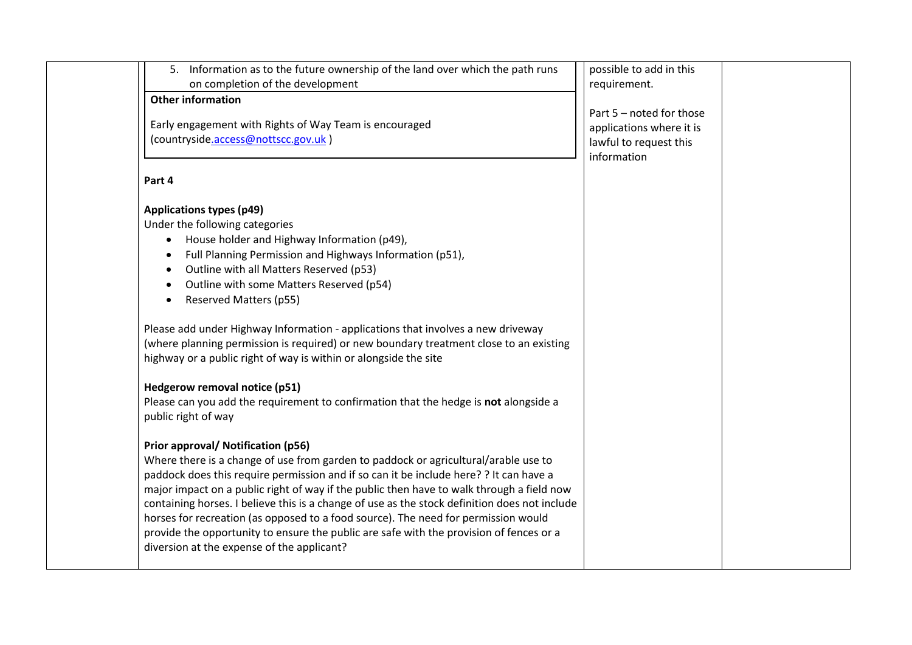| 5.                                                                                                                      | Information as to the future ownership of the land over which the path runs<br>on completion of the development                                                                                                                                                                                                                                                                                                                                                                                                                                                                                                                                                                                                                                                                                                                                                                                                                                                                                                                                                                                                                                                                                                                                                                           | possible to add in this<br>requirement.                                                       |  |
|-------------------------------------------------------------------------------------------------------------------------|-------------------------------------------------------------------------------------------------------------------------------------------------------------------------------------------------------------------------------------------------------------------------------------------------------------------------------------------------------------------------------------------------------------------------------------------------------------------------------------------------------------------------------------------------------------------------------------------------------------------------------------------------------------------------------------------------------------------------------------------------------------------------------------------------------------------------------------------------------------------------------------------------------------------------------------------------------------------------------------------------------------------------------------------------------------------------------------------------------------------------------------------------------------------------------------------------------------------------------------------------------------------------------------------|-----------------------------------------------------------------------------------------------|--|
| <b>Other information</b>                                                                                                | Early engagement with Rights of Way Team is encouraged<br>(countryside.access@nottscc.gov.uk)                                                                                                                                                                                                                                                                                                                                                                                                                                                                                                                                                                                                                                                                                                                                                                                                                                                                                                                                                                                                                                                                                                                                                                                             | Part 5 - noted for those<br>applications where it is<br>lawful to request this<br>information |  |
| Part 4                                                                                                                  |                                                                                                                                                                                                                                                                                                                                                                                                                                                                                                                                                                                                                                                                                                                                                                                                                                                                                                                                                                                                                                                                                                                                                                                                                                                                                           |                                                                                               |  |
| <b>Applications types (p49)</b><br>$\bullet$<br>$\bullet$<br>$\bullet$<br>$\bullet$<br>$\bullet$<br>public right of way | Under the following categories<br>House holder and Highway Information (p49),<br>Full Planning Permission and Highways Information (p51),<br>Outline with all Matters Reserved (p53)<br>Outline with some Matters Reserved (p54)<br>Reserved Matters (p55)<br>Please add under Highway Information - applications that involves a new driveway<br>(where planning permission is required) or new boundary treatment close to an existing<br>highway or a public right of way is within or alongside the site<br>Hedgerow removal notice (p51)<br>Please can you add the requirement to confirmation that the hedge is not alongside a<br>Prior approval/ Notification (p56)<br>Where there is a change of use from garden to paddock or agricultural/arable use to<br>paddock does this require permission and if so can it be include here? ? It can have a<br>major impact on a public right of way if the public then have to walk through a field now<br>containing horses. I believe this is a change of use as the stock definition does not include<br>horses for recreation (as opposed to a food source). The need for permission would<br>provide the opportunity to ensure the public are safe with the provision of fences or a<br>diversion at the expense of the applicant? |                                                                                               |  |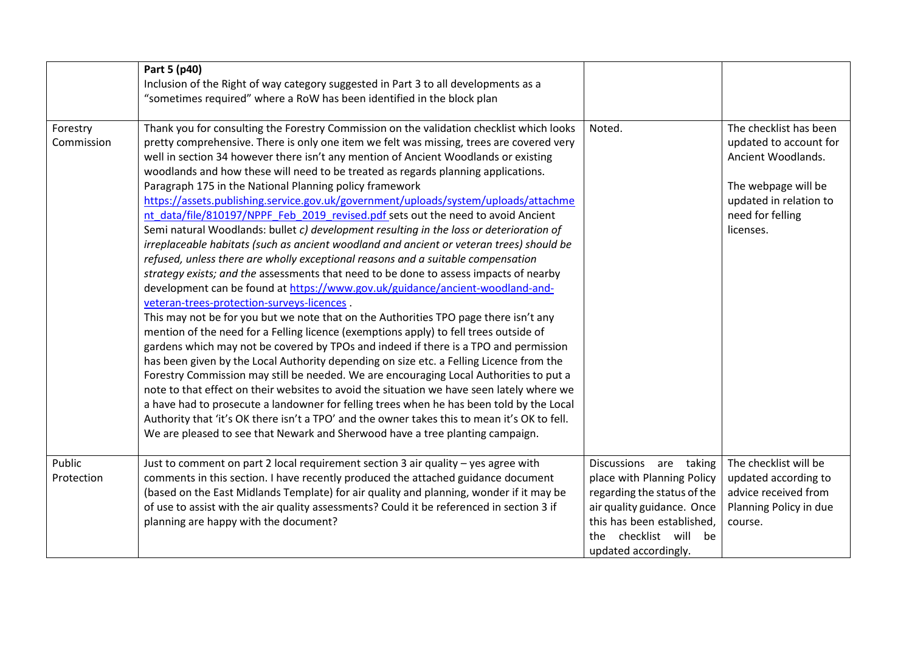|                        | Part 5 (p40)<br>Inclusion of the Right of way category suggested in Part 3 to all developments as a<br>"sometimes required" where a RoW has been identified in the block plan                                                                                                                                                                                                                                                                                                                                                                                                                                                                                                                                                                                                                                                                                                                                                                                                                                                                                                                                                                                                                                                                                                                                                                                                                                                                                                                                                                                                                                                                                                                                                                                                                                                                                                                                                                     |                                                                                                                                                                                                     |                                                                                                                                                          |
|------------------------|---------------------------------------------------------------------------------------------------------------------------------------------------------------------------------------------------------------------------------------------------------------------------------------------------------------------------------------------------------------------------------------------------------------------------------------------------------------------------------------------------------------------------------------------------------------------------------------------------------------------------------------------------------------------------------------------------------------------------------------------------------------------------------------------------------------------------------------------------------------------------------------------------------------------------------------------------------------------------------------------------------------------------------------------------------------------------------------------------------------------------------------------------------------------------------------------------------------------------------------------------------------------------------------------------------------------------------------------------------------------------------------------------------------------------------------------------------------------------------------------------------------------------------------------------------------------------------------------------------------------------------------------------------------------------------------------------------------------------------------------------------------------------------------------------------------------------------------------------------------------------------------------------------------------------------------------------|-----------------------------------------------------------------------------------------------------------------------------------------------------------------------------------------------------|----------------------------------------------------------------------------------------------------------------------------------------------------------|
| Forestry<br>Commission | Thank you for consulting the Forestry Commission on the validation checklist which looks<br>pretty comprehensive. There is only one item we felt was missing, trees are covered very<br>well in section 34 however there isn't any mention of Ancient Woodlands or existing<br>woodlands and how these will need to be treated as regards planning applications.<br>Paragraph 175 in the National Planning policy framework<br>https://assets.publishing.service.gov.uk/government/uploads/system/uploads/attachme<br>nt data/file/810197/NPPF Feb 2019 revised.pdf sets out the need to avoid Ancient<br>Semi natural Woodlands: bullet c) development resulting in the loss or deterioration of<br>irreplaceable habitats (such as ancient woodland and ancient or veteran trees) should be<br>refused, unless there are wholly exceptional reasons and a suitable compensation<br>strategy exists; and the assessments that need to be done to assess impacts of nearby<br>development can be found at https://www.gov.uk/guidance/ancient-woodland-and-<br>veteran-trees-protection-surveys-licences.<br>This may not be for you but we note that on the Authorities TPO page there isn't any<br>mention of the need for a Felling licence (exemptions apply) to fell trees outside of<br>gardens which may not be covered by TPOs and indeed if there is a TPO and permission<br>has been given by the Local Authority depending on size etc. a Felling Licence from the<br>Forestry Commission may still be needed. We are encouraging Local Authorities to put a<br>note to that effect on their websites to avoid the situation we have seen lately where we<br>a have had to prosecute a landowner for felling trees when he has been told by the Local<br>Authority that 'it's OK there isn't a TPO' and the owner takes this to mean it's OK to fell.<br>We are pleased to see that Newark and Sherwood have a tree planting campaign. | Noted.                                                                                                                                                                                              | The checklist has been<br>updated to account for<br>Ancient Woodlands.<br>The webpage will be<br>updated in relation to<br>need for felling<br>licenses. |
| Public<br>Protection   | Just to comment on part 2 local requirement section 3 air quality - yes agree with<br>comments in this section. I have recently produced the attached guidance document<br>(based on the East Midlands Template) for air quality and planning, wonder if it may be<br>of use to assist with the air quality assessments? Could it be referenced in section 3 if<br>planning are happy with the document?                                                                                                                                                                                                                                                                                                                                                                                                                                                                                                                                                                                                                                                                                                                                                                                                                                                                                                                                                                                                                                                                                                                                                                                                                                                                                                                                                                                                                                                                                                                                          | Discussions are taking<br>place with Planning Policy<br>regarding the status of the<br>air quality guidance. Once<br>this has been established,<br>checklist will be<br>the<br>updated accordingly. | The checklist will be<br>updated according to<br>advice received from<br>Planning Policy in due<br>course.                                               |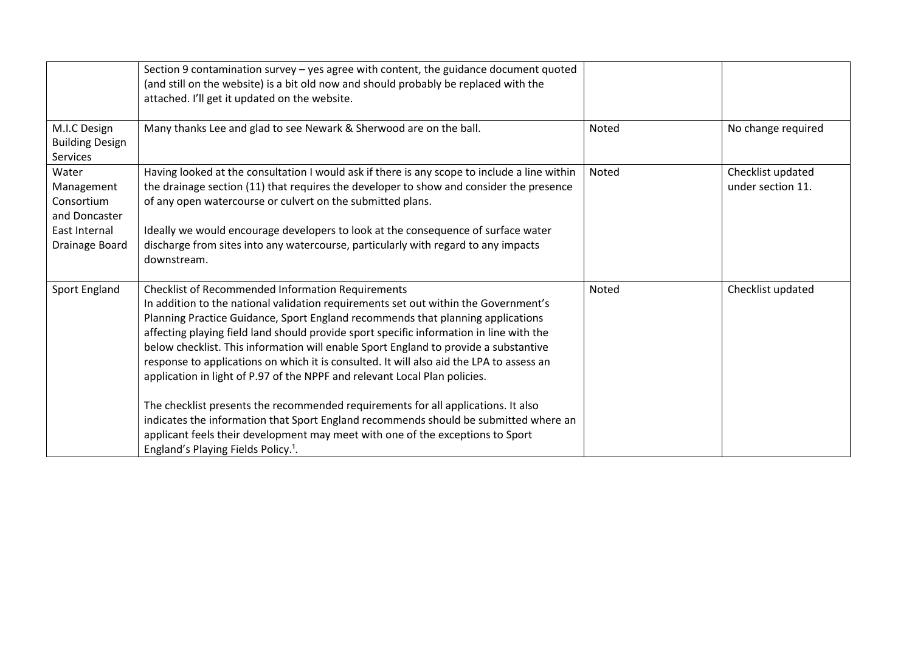|                                                                                       | Section 9 contamination survey - yes agree with content, the guidance document quoted<br>(and still on the website) is a bit old now and should probably be replaced with the<br>attached. I'll get it updated on the website.                                                                                                                                                                                                                                                                                                                                                                                                                                                                                                                                                                                                                                                                                    |       |                                        |
|---------------------------------------------------------------------------------------|-------------------------------------------------------------------------------------------------------------------------------------------------------------------------------------------------------------------------------------------------------------------------------------------------------------------------------------------------------------------------------------------------------------------------------------------------------------------------------------------------------------------------------------------------------------------------------------------------------------------------------------------------------------------------------------------------------------------------------------------------------------------------------------------------------------------------------------------------------------------------------------------------------------------|-------|----------------------------------------|
| M.I.C Design<br><b>Building Design</b><br>Services                                    | Many thanks Lee and glad to see Newark & Sherwood are on the ball.                                                                                                                                                                                                                                                                                                                                                                                                                                                                                                                                                                                                                                                                                                                                                                                                                                                | Noted | No change required                     |
| Water<br>Management<br>Consortium<br>and Doncaster<br>East Internal<br>Drainage Board | Having looked at the consultation I would ask if there is any scope to include a line within<br>the drainage section (11) that requires the developer to show and consider the presence<br>of any open watercourse or culvert on the submitted plans.<br>Ideally we would encourage developers to look at the consequence of surface water<br>discharge from sites into any watercourse, particularly with regard to any impacts<br>downstream.                                                                                                                                                                                                                                                                                                                                                                                                                                                                   | Noted | Checklist updated<br>under section 11. |
| Sport England                                                                         | <b>Checklist of Recommended Information Requirements</b><br>In addition to the national validation requirements set out within the Government's<br>Planning Practice Guidance, Sport England recommends that planning applications<br>affecting playing field land should provide sport specific information in line with the<br>below checklist. This information will enable Sport England to provide a substantive<br>response to applications on which it is consulted. It will also aid the LPA to assess an<br>application in light of P.97 of the NPPF and relevant Local Plan policies.<br>The checklist presents the recommended requirements for all applications. It also<br>indicates the information that Sport England recommends should be submitted where an<br>applicant feels their development may meet with one of the exceptions to Sport<br>England's Playing Fields Policy. <sup>1</sup> . | Noted | Checklist updated                      |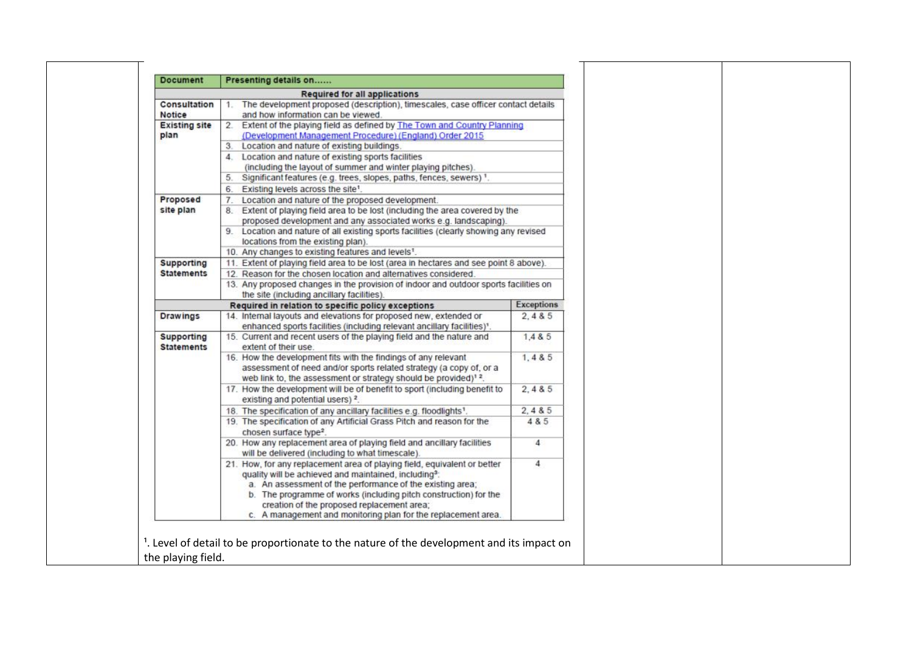|                                        | <b>Required for all applications</b>                                                                                                                                                                                                                                                                                                                                                          |                   |
|----------------------------------------|-----------------------------------------------------------------------------------------------------------------------------------------------------------------------------------------------------------------------------------------------------------------------------------------------------------------------------------------------------------------------------------------------|-------------------|
| Consultation                           | The development proposed (description), timescales, case officer contact details                                                                                                                                                                                                                                                                                                              |                   |
| Notice                                 | and how information can be viewed.                                                                                                                                                                                                                                                                                                                                                            |                   |
| <b>Existing site</b>                   | 2. Extent of the playing field as defined by The Town and Country Planning                                                                                                                                                                                                                                                                                                                    |                   |
| plan                                   | (Development Management Procedure) (England) Order 2015<br>3. Location and nature of existing buildings.                                                                                                                                                                                                                                                                                      |                   |
|                                        |                                                                                                                                                                                                                                                                                                                                                                                               |                   |
|                                        | 4. Location and nature of existing sports facilities<br>(including the layout of summer and winter playing pitches).                                                                                                                                                                                                                                                                          |                   |
|                                        | 5. Significant features (e.g. trees, slopes, paths, fences, sewers) 1.                                                                                                                                                                                                                                                                                                                        |                   |
|                                        | 6. Existing levels across the site <sup>1</sup> .                                                                                                                                                                                                                                                                                                                                             |                   |
| Proposed                               | 7. Location and nature of the proposed development.                                                                                                                                                                                                                                                                                                                                           |                   |
| site plan                              | 8. Extent of playing field area to be lost (including the area covered by the                                                                                                                                                                                                                                                                                                                 |                   |
|                                        | proposed development and any associated works e.g. landscaping).                                                                                                                                                                                                                                                                                                                              |                   |
|                                        | 9. Location and nature of all existing sports facilities (clearly showing any revised                                                                                                                                                                                                                                                                                                         |                   |
|                                        | locations from the existing plan).                                                                                                                                                                                                                                                                                                                                                            |                   |
|                                        | 10. Any changes to existing features and levels1.                                                                                                                                                                                                                                                                                                                                             |                   |
| Supporting                             | 11. Extent of playing field area to be lost (area in hectares and see point 8 above).                                                                                                                                                                                                                                                                                                         |                   |
| <b>Statements</b>                      | 12. Reason for the chosen location and alternatives considered.                                                                                                                                                                                                                                                                                                                               |                   |
|                                        | 13. Any proposed changes in the provision of indoor and outdoor sports facilities on                                                                                                                                                                                                                                                                                                          |                   |
|                                        | the site (including ancillary facilities).                                                                                                                                                                                                                                                                                                                                                    |                   |
|                                        | Required in relation to specific policy exceptions                                                                                                                                                                                                                                                                                                                                            | <b>Exceptions</b> |
| <b>Drawings</b>                        | 14. Internal layouts and elevations for proposed new, extended or                                                                                                                                                                                                                                                                                                                             | 2, 485            |
|                                        | enhanced sports facilities (including relevant ancillary facilities) <sup>1</sup> .                                                                                                                                                                                                                                                                                                           |                   |
| <b>Supporting</b><br><b>Statements</b> | 15. Current and recent users of the playing field and the nature and<br>extent of their use.                                                                                                                                                                                                                                                                                                  | 1.4 & 5           |
|                                        | 16. How the development fits with the findings of any relevant                                                                                                                                                                                                                                                                                                                                | 1, 485            |
|                                        | assessment of need and/or sports related strategy (a copy of, or a                                                                                                                                                                                                                                                                                                                            |                   |
|                                        | web link to, the assessment or strategy should be provided) <sup>12</sup> .                                                                                                                                                                                                                                                                                                                   |                   |
|                                        | 17. How the development will be of benefit to sport (including benefit to<br>existing and potential users) <sup>2</sup> .                                                                                                                                                                                                                                                                     | 2, 485            |
|                                        | 18. The specification of any ancillary facilities e.g. floodlights <sup>1</sup> .                                                                                                                                                                                                                                                                                                             | 2, 485            |
|                                        | 19. The specification of any Artificial Grass Pitch and reason for the<br>chosen surface type <sup>2</sup> .                                                                                                                                                                                                                                                                                  | 4 & 5             |
|                                        | 20. How any replacement area of playing field and ancillary facilities<br>will be delivered (including to what timescale).                                                                                                                                                                                                                                                                    | 4                 |
|                                        | 21. How, for any replacement area of playing field, equivalent or better<br>quality will be achieved and maintained, including <sup>3</sup> :<br>a. An assessment of the performance of the existing area;<br>b. The programme of works (including pitch construction) for the<br>creation of the proposed replacement area;<br>c. A management and monitoring plan for the replacement area. | 4                 |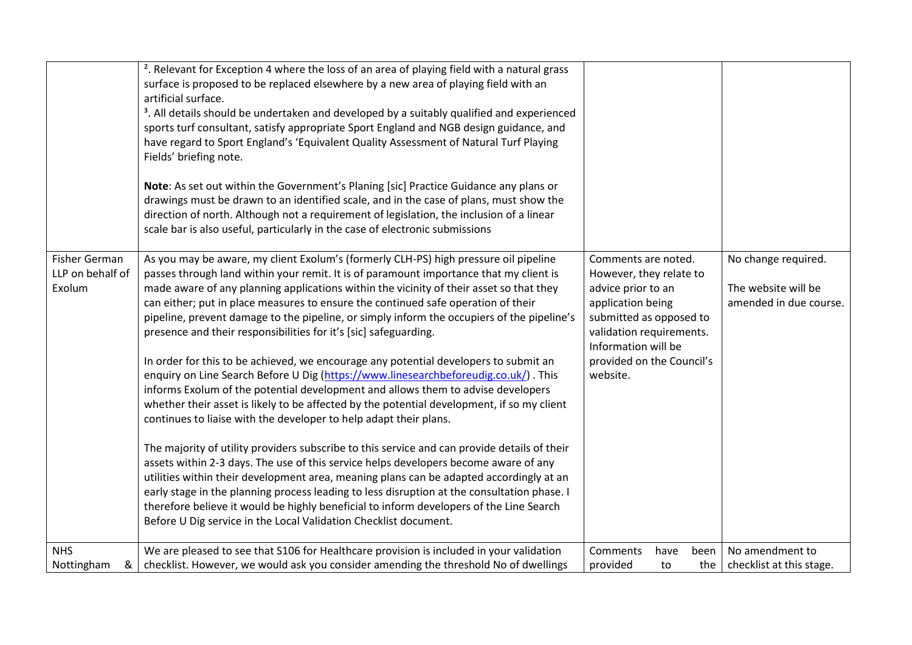|                                             | <sup>2</sup> . Relevant for Exception 4 where the loss of an area of playing field with a natural grass<br>surface is proposed to be replaced elsewhere by a new area of playing field with an<br>artificial surface.<br><sup>3</sup> . All details should be undertaken and developed by a suitably qualified and experienced<br>sports turf consultant, satisfy appropriate Sport England and NGB design guidance, and<br>have regard to Sport England's 'Equivalent Quality Assessment of Natural Turf Playing<br>Fields' briefing note.<br>Note: As set out within the Government's Planing [sic] Practice Guidance any plans or<br>drawings must be drawn to an identified scale, and in the case of plans, must show the<br>direction of north. Although not a requirement of legislation, the inclusion of a linear<br>scale bar is also useful, particularly in the case of electronic submissions                                                                                                                                                                                                                                                                                                                                                                                                                                                                                                                                                                                                              |                                                                                                                                                                                                                  |                                                                      |
|---------------------------------------------|-------------------------------------------------------------------------------------------------------------------------------------------------------------------------------------------------------------------------------------------------------------------------------------------------------------------------------------------------------------------------------------------------------------------------------------------------------------------------------------------------------------------------------------------------------------------------------------------------------------------------------------------------------------------------------------------------------------------------------------------------------------------------------------------------------------------------------------------------------------------------------------------------------------------------------------------------------------------------------------------------------------------------------------------------------------------------------------------------------------------------------------------------------------------------------------------------------------------------------------------------------------------------------------------------------------------------------------------------------------------------------------------------------------------------------------------------------------------------------------------------------------------------|------------------------------------------------------------------------------------------------------------------------------------------------------------------------------------------------------------------|----------------------------------------------------------------------|
| Fisher German<br>LLP on behalf of<br>Exolum | As you may be aware, my client Exolum's (formerly CLH-PS) high pressure oil pipeline<br>passes through land within your remit. It is of paramount importance that my client is<br>made aware of any planning applications within the vicinity of their asset so that they<br>can either; put in place measures to ensure the continued safe operation of their<br>pipeline, prevent damage to the pipeline, or simply inform the occupiers of the pipeline's<br>presence and their responsibilities for it's [sic] safeguarding.<br>In order for this to be achieved, we encourage any potential developers to submit an<br>enquiry on Line Search Before U Dig (https://www.linesearchbeforeudig.co.uk/). This<br>informs Exolum of the potential development and allows them to advise developers<br>whether their asset is likely to be affected by the potential development, if so my client<br>continues to liaise with the developer to help adapt their plans.<br>The majority of utility providers subscribe to this service and can provide details of their<br>assets within 2-3 days. The use of this service helps developers become aware of any<br>utilities within their development area, meaning plans can be adapted accordingly at an<br>early stage in the planning process leading to less disruption at the consultation phase. I<br>therefore believe it would be highly beneficial to inform developers of the Line Search<br>Before U Dig service in the Local Validation Checklist document. | Comments are noted.<br>However, they relate to<br>advice prior to an<br>application being<br>submitted as opposed to<br>validation requirements.<br>Information will be<br>provided on the Council's<br>website. | No change required.<br>The website will be<br>amended in due course. |
| <b>NHS</b><br>Nottingham<br>&               | We are pleased to see that S106 for Healthcare provision is included in your validation<br>checklist. However, we would ask you consider amending the threshold No of dwellings                                                                                                                                                                                                                                                                                                                                                                                                                                                                                                                                                                                                                                                                                                                                                                                                                                                                                                                                                                                                                                                                                                                                                                                                                                                                                                                                         | Comments<br>have<br>been<br>provided<br>to<br>the                                                                                                                                                                | No amendment to<br>checklist at this stage.                          |
|                                             |                                                                                                                                                                                                                                                                                                                                                                                                                                                                                                                                                                                                                                                                                                                                                                                                                                                                                                                                                                                                                                                                                                                                                                                                                                                                                                                                                                                                                                                                                                                         |                                                                                                                                                                                                                  |                                                                      |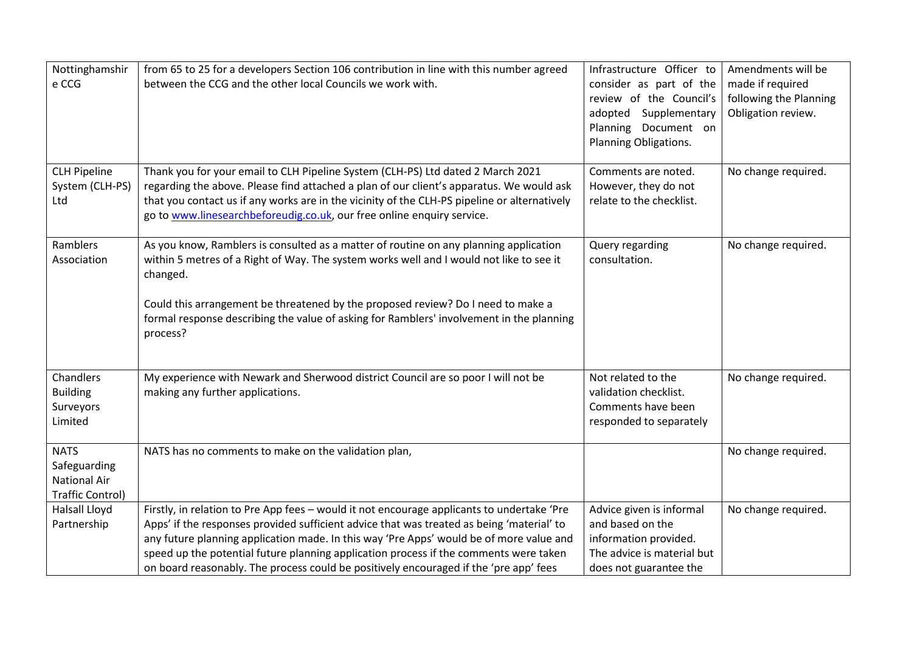| Nottinghamshir<br>e CCG                                                       | from 65 to 25 for a developers Section 106 contribution in line with this number agreed<br>between the CCG and the other local Councils we work with.                                                                                                                                                                                                                                                                                                                | Infrastructure Officer to<br>consider as part of the<br>review of the Council's<br>adopted Supplementary<br>Planning Document on<br>Planning Obligations. | Amendments will be<br>made if required<br>following the Planning<br>Obligation review. |
|-------------------------------------------------------------------------------|----------------------------------------------------------------------------------------------------------------------------------------------------------------------------------------------------------------------------------------------------------------------------------------------------------------------------------------------------------------------------------------------------------------------------------------------------------------------|-----------------------------------------------------------------------------------------------------------------------------------------------------------|----------------------------------------------------------------------------------------|
| <b>CLH Pipeline</b><br>System (CLH-PS)<br>Ltd                                 | Thank you for your email to CLH Pipeline System (CLH-PS) Ltd dated 2 March 2021<br>regarding the above. Please find attached a plan of our client's apparatus. We would ask<br>that you contact us if any works are in the vicinity of the CLH-PS pipeline or alternatively<br>go to www.linesearchbeforeudig.co.uk, our free online enquiry service.                                                                                                                | Comments are noted.<br>However, they do not<br>relate to the checklist.                                                                                   | No change required.                                                                    |
| Ramblers<br>Association                                                       | As you know, Ramblers is consulted as a matter of routine on any planning application<br>within 5 metres of a Right of Way. The system works well and I would not like to see it<br>changed.<br>Could this arrangement be threatened by the proposed review? Do I need to make a<br>formal response describing the value of asking for Ramblers' involvement in the planning<br>process?                                                                             | Query regarding<br>consultation.                                                                                                                          | No change required.                                                                    |
| Chandlers<br><b>Building</b><br>Surveyors<br>Limited                          | My experience with Newark and Sherwood district Council are so poor I will not be<br>making any further applications.                                                                                                                                                                                                                                                                                                                                                | Not related to the<br>validation checklist.<br>Comments have been<br>responded to separately                                                              | No change required.                                                                    |
| <b>NATS</b><br>Safeguarding<br><b>National Air</b><br><b>Traffic Control)</b> | NATS has no comments to make on the validation plan,                                                                                                                                                                                                                                                                                                                                                                                                                 |                                                                                                                                                           | No change required.                                                                    |
| <b>Halsall Lloyd</b><br>Partnership                                           | Firstly, in relation to Pre App fees - would it not encourage applicants to undertake 'Pre<br>Apps' if the responses provided sufficient advice that was treated as being 'material' to<br>any future planning application made. In this way 'Pre Apps' would be of more value and<br>speed up the potential future planning application process if the comments were taken<br>on board reasonably. The process could be positively encouraged if the 'pre app' fees | Advice given is informal<br>and based on the<br>information provided.<br>The advice is material but<br>does not guarantee the                             | No change required.                                                                    |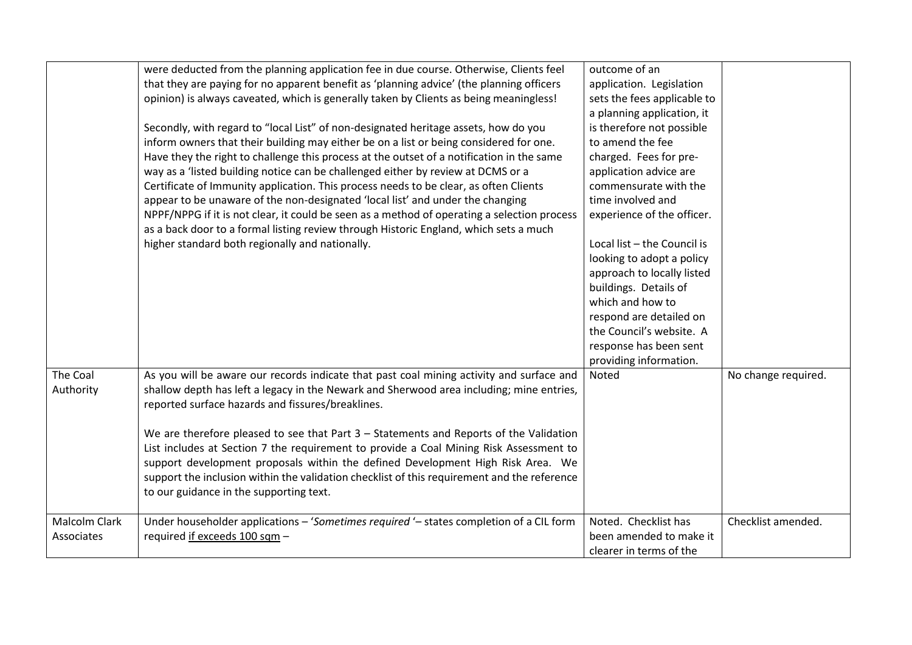|                                    | were deducted from the planning application fee in due course. Otherwise, Clients feel<br>that they are paying for no apparent benefit as 'planning advice' (the planning officers<br>opinion) is always caveated, which is generally taken by Clients as being meaningless!<br>Secondly, with regard to "local List" of non-designated heritage assets, how do you<br>inform owners that their building may either be on a list or being considered for one.<br>Have they the right to challenge this process at the outset of a notification in the same<br>way as a 'listed building notice can be challenged either by review at DCMS or a<br>Certificate of Immunity application. This process needs to be clear, as often Clients<br>appear to be unaware of the non-designated 'local list' and under the changing<br>NPPF/NPPG if it is not clear, it could be seen as a method of operating a selection process<br>as a back door to a formal listing review through Historic England, which sets a much<br>higher standard both regionally and nationally. | outcome of an<br>application. Legislation<br>sets the fees applicable to<br>a planning application, it<br>is therefore not possible<br>to amend the fee<br>charged. Fees for pre-<br>application advice are<br>commensurate with the<br>time involved and<br>experience of the officer.<br>Local list - the Council is<br>looking to adopt a policy<br>approach to locally listed<br>buildings. Details of<br>which and how to<br>respond are detailed on<br>the Council's website. A<br>response has been sent<br>providing information. |                     |
|------------------------------------|----------------------------------------------------------------------------------------------------------------------------------------------------------------------------------------------------------------------------------------------------------------------------------------------------------------------------------------------------------------------------------------------------------------------------------------------------------------------------------------------------------------------------------------------------------------------------------------------------------------------------------------------------------------------------------------------------------------------------------------------------------------------------------------------------------------------------------------------------------------------------------------------------------------------------------------------------------------------------------------------------------------------------------------------------------------------|-------------------------------------------------------------------------------------------------------------------------------------------------------------------------------------------------------------------------------------------------------------------------------------------------------------------------------------------------------------------------------------------------------------------------------------------------------------------------------------------------------------------------------------------|---------------------|
| The Coal<br>Authority              | As you will be aware our records indicate that past coal mining activity and surface and<br>shallow depth has left a legacy in the Newark and Sherwood area including; mine entries,<br>reported surface hazards and fissures/breaklines.<br>We are therefore pleased to see that Part 3 - Statements and Reports of the Validation<br>List includes at Section 7 the requirement to provide a Coal Mining Risk Assessment to<br>support development proposals within the defined Development High Risk Area. We<br>support the inclusion within the validation checklist of this requirement and the reference<br>to our guidance in the supporting text.                                                                                                                                                                                                                                                                                                                                                                                                           | Noted                                                                                                                                                                                                                                                                                                                                                                                                                                                                                                                                     | No change required. |
| <b>Malcolm Clark</b><br>Associates | Under householder applications - 'Sometimes required '- states completion of a CIL form<br>required if exceeds 100 sqm -                                                                                                                                                                                                                                                                                                                                                                                                                                                                                                                                                                                                                                                                                                                                                                                                                                                                                                                                             | Noted. Checklist has<br>been amended to make it<br>clearer in terms of the                                                                                                                                                                                                                                                                                                                                                                                                                                                                | Checklist amended.  |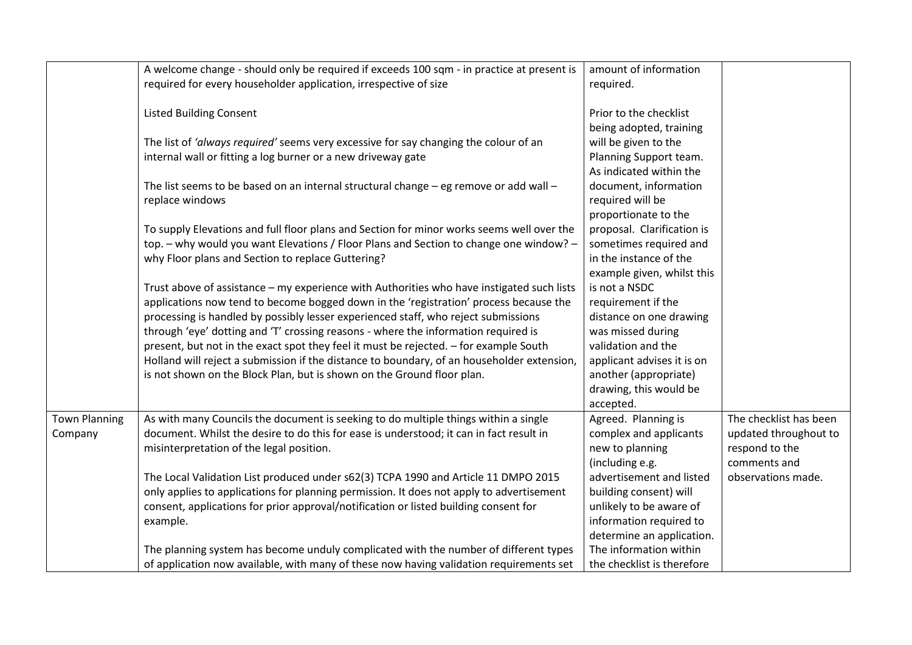|                      | A welcome change - should only be required if exceeds 100 sqm - in practice at present is<br>required for every householder application, irrespective of size                  | amount of information<br>required.                  |                                         |
|----------------------|--------------------------------------------------------------------------------------------------------------------------------------------------------------------------------|-----------------------------------------------------|-----------------------------------------|
|                      | <b>Listed Building Consent</b>                                                                                                                                                 | Prior to the checklist<br>being adopted, training   |                                         |
|                      | The list of 'always required' seems very excessive for say changing the colour of an<br>internal wall or fitting a log burner or a new driveway gate                           | will be given to the<br>Planning Support team.      |                                         |
|                      |                                                                                                                                                                                | As indicated within the                             |                                         |
|                      | The list seems to be based on an internal structural change $-$ eg remove or add wall $-$<br>replace windows                                                                   | document, information<br>required will be           |                                         |
|                      |                                                                                                                                                                                | proportionate to the                                |                                         |
|                      | To supply Elevations and full floor plans and Section for minor works seems well over the                                                                                      | proposal. Clarification is                          |                                         |
|                      | top. - why would you want Elevations / Floor Plans and Section to change one window? -<br>why Floor plans and Section to replace Guttering?                                    | sometimes required and<br>in the instance of the    |                                         |
|                      |                                                                                                                                                                                | example given, whilst this                          |                                         |
|                      | Trust above of assistance - my experience with Authorities who have instigated such lists                                                                                      | is not a NSDC                                       |                                         |
|                      | applications now tend to become bogged down in the 'registration' process because the<br>processing is handled by possibly lesser experienced staff, who reject submissions    | requirement if the<br>distance on one drawing       |                                         |
|                      | through 'eye' dotting and 'T' crossing reasons - where the information required is                                                                                             | was missed during                                   |                                         |
|                      | present, but not in the exact spot they feel it must be rejected. - for example South                                                                                          | validation and the                                  |                                         |
|                      | Holland will reject a submission if the distance to boundary, of an householder extension,<br>is not shown on the Block Plan, but is shown on the Ground floor plan.           | applicant advises it is on<br>another (appropriate) |                                         |
|                      |                                                                                                                                                                                | drawing, this would be                              |                                         |
|                      |                                                                                                                                                                                | accepted.                                           |                                         |
| <b>Town Planning</b> | As with many Councils the document is seeking to do multiple things within a single<br>document. Whilst the desire to do this for ease is understood; it can in fact result in | Agreed. Planning is<br>complex and applicants       | The checklist has been                  |
| Company              | misinterpretation of the legal position.                                                                                                                                       | new to planning                                     | updated throughout to<br>respond to the |
|                      |                                                                                                                                                                                | (including e.g.                                     | comments and                            |
|                      | The Local Validation List produced under s62(3) TCPA 1990 and Article 11 DMPO 2015                                                                                             | advertisement and listed                            | observations made.                      |
|                      | only applies to applications for planning permission. It does not apply to advertisement                                                                                       | building consent) will                              |                                         |
|                      | consent, applications for prior approval/notification or listed building consent for                                                                                           | unlikely to be aware of                             |                                         |
|                      | example.                                                                                                                                                                       | information required to                             |                                         |
|                      | The planning system has become unduly complicated with the number of different types                                                                                           | determine an application.<br>The information within |                                         |
|                      | of application now available, with many of these now having validation requirements set                                                                                        | the checklist is therefore                          |                                         |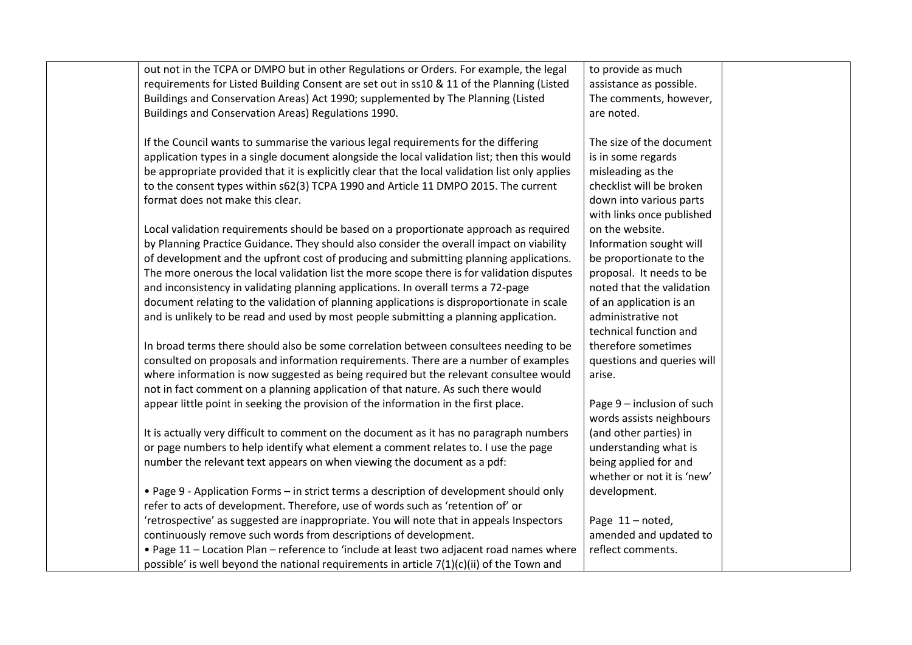| out not in the TCPA or DMPO but in other Regulations or Orders. For example, the legal          | to provide as much         |
|-------------------------------------------------------------------------------------------------|----------------------------|
| requirements for Listed Building Consent are set out in ss10 & 11 of the Planning (Listed       | assistance as possible.    |
| Buildings and Conservation Areas) Act 1990; supplemented by The Planning (Listed                | The comments, however,     |
| Buildings and Conservation Areas) Regulations 1990.                                             | are noted.                 |
|                                                                                                 |                            |
| If the Council wants to summarise the various legal requirements for the differing              | The size of the document   |
| application types in a single document alongside the local validation list; then this would     | is in some regards         |
| be appropriate provided that it is explicitly clear that the local validation list only applies | misleading as the          |
| to the consent types within s62(3) TCPA 1990 and Article 11 DMPO 2015. The current              | checklist will be broken   |
| format does not make this clear.                                                                | down into various parts    |
|                                                                                                 | with links once published  |
| Local validation requirements should be based on a proportionate approach as required           | on the website.            |
| by Planning Practice Guidance. They should also consider the overall impact on viability        | Information sought will    |
| of development and the upfront cost of producing and submitting planning applications.          | be proportionate to the    |
| The more onerous the local validation list the more scope there is for validation disputes      | proposal. It needs to be   |
| and inconsistency in validating planning applications. In overall terms a 72-page               | noted that the validation  |
| document relating to the validation of planning applications is disproportionate in scale       | of an application is an    |
| and is unlikely to be read and used by most people submitting a planning application.           | administrative not         |
|                                                                                                 | technical function and     |
| In broad terms there should also be some correlation between consultees needing to be           | therefore sometimes        |
| consulted on proposals and information requirements. There are a number of examples             | questions and queries will |
| where information is now suggested as being required but the relevant consultee would           | arise.                     |
| not in fact comment on a planning application of that nature. As such there would               |                            |
| appear little point in seeking the provision of the information in the first place.             | Page 9 - inclusion of such |
|                                                                                                 | words assists neighbours   |
| It is actually very difficult to comment on the document as it has no paragraph numbers         | (and other parties) in     |
| or page numbers to help identify what element a comment relates to. I use the page              | understanding what is      |
| number the relevant text appears on when viewing the document as a pdf:                         | being applied for and      |
|                                                                                                 | whether or not it is 'new' |
| • Page 9 - Application Forms - in strict terms a description of development should only         | development.               |
| refer to acts of development. Therefore, use of words such as 'retention of' or                 |                            |
| 'retrospective' as suggested are inappropriate. You will note that in appeals Inspectors        | Page 11-noted,             |
| continuously remove such words from descriptions of development.                                | amended and updated to     |
| . Page 11 - Location Plan - reference to 'include at least two adjacent road names where        | reflect comments.          |
| possible' is well beyond the national requirements in article $7(1)(c)(ii)$ of the Town and     |                            |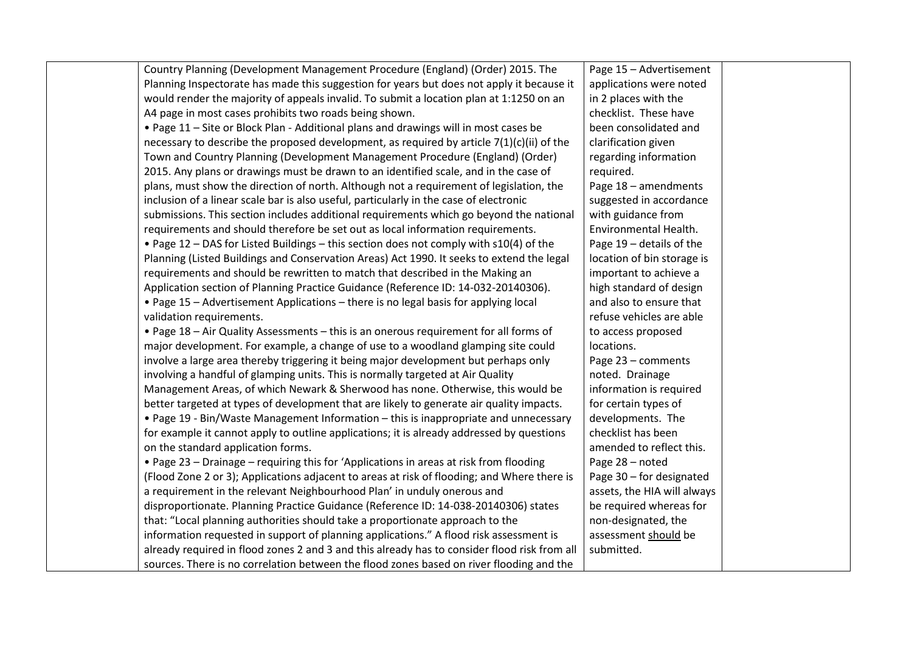| Country Planning (Development Management Procedure (England) (Order) 2015. The               | Page 15 - Advertisement     |  |
|----------------------------------------------------------------------------------------------|-----------------------------|--|
| Planning Inspectorate has made this suggestion for years but does not apply it because it    | applications were noted     |  |
| would render the majority of appeals invalid. To submit a location plan at 1:1250 on an      | in 2 places with the        |  |
| A4 page in most cases prohibits two roads being shown.                                       | checklist. These have       |  |
| . Page 11 - Site or Block Plan - Additional plans and drawings will in most cases be         | been consolidated and       |  |
| necessary to describe the proposed development, as required by article $7(1)(c)(ii)$ of the  | clarification given         |  |
| Town and Country Planning (Development Management Procedure (England) (Order)                | regarding information       |  |
| 2015. Any plans or drawings must be drawn to an identified scale, and in the case of         | required.                   |  |
| plans, must show the direction of north. Although not a requirement of legislation, the      | Page 18 - amendments        |  |
| inclusion of a linear scale bar is also useful, particularly in the case of electronic       | suggested in accordance     |  |
| submissions. This section includes additional requirements which go beyond the national      | with guidance from          |  |
| requirements and should therefore be set out as local information requirements.              | Environmental Health.       |  |
| • Page 12 - DAS for Listed Buildings - this section does not comply with s10(4) of the       | Page 19 - details of the    |  |
| Planning (Listed Buildings and Conservation Areas) Act 1990. It seeks to extend the legal    | location of bin storage is  |  |
| requirements and should be rewritten to match that described in the Making an                | important to achieve a      |  |
| Application section of Planning Practice Guidance (Reference ID: 14-032-20140306).           | high standard of design     |  |
| • Page 15 - Advertisement Applications - there is no legal basis for applying local          | and also to ensure that     |  |
| validation requirements.                                                                     | refuse vehicles are able    |  |
| . Page 18 - Air Quality Assessments - this is an onerous requirement for all forms of        | to access proposed          |  |
| major development. For example, a change of use to a woodland glamping site could            | locations.                  |  |
| involve a large area thereby triggering it being major development but perhaps only          | Page 23 - comments          |  |
| involving a handful of glamping units. This is normally targeted at Air Quality              | noted. Drainage             |  |
| Management Areas, of which Newark & Sherwood has none. Otherwise, this would be              | information is required     |  |
| better targeted at types of development that are likely to generate air quality impacts.     | for certain types of        |  |
| • Page 19 - Bin/Waste Management Information - this is inappropriate and unnecessary         | developments. The           |  |
| for example it cannot apply to outline applications; it is already addressed by questions    | checklist has been          |  |
| on the standard application forms.                                                           | amended to reflect this.    |  |
| • Page 23 - Drainage - requiring this for 'Applications in areas at risk from flooding       | Page 28 - noted             |  |
| (Flood Zone 2 or 3); Applications adjacent to areas at risk of flooding; and Where there is  | Page 30 - for designated    |  |
| a requirement in the relevant Neighbourhood Plan' in unduly onerous and                      | assets, the HIA will always |  |
| disproportionate. Planning Practice Guidance (Reference ID: 14-038-20140306) states          | be required whereas for     |  |
| that: "Local planning authorities should take a proportionate approach to the                | non-designated, the         |  |
| information requested in support of planning applications." A flood risk assessment is       | assessment should be        |  |
| already required in flood zones 2 and 3 and this already has to consider flood risk from all | submitted.                  |  |
| sources. There is no correlation between the flood zones based on river flooding and the     |                             |  |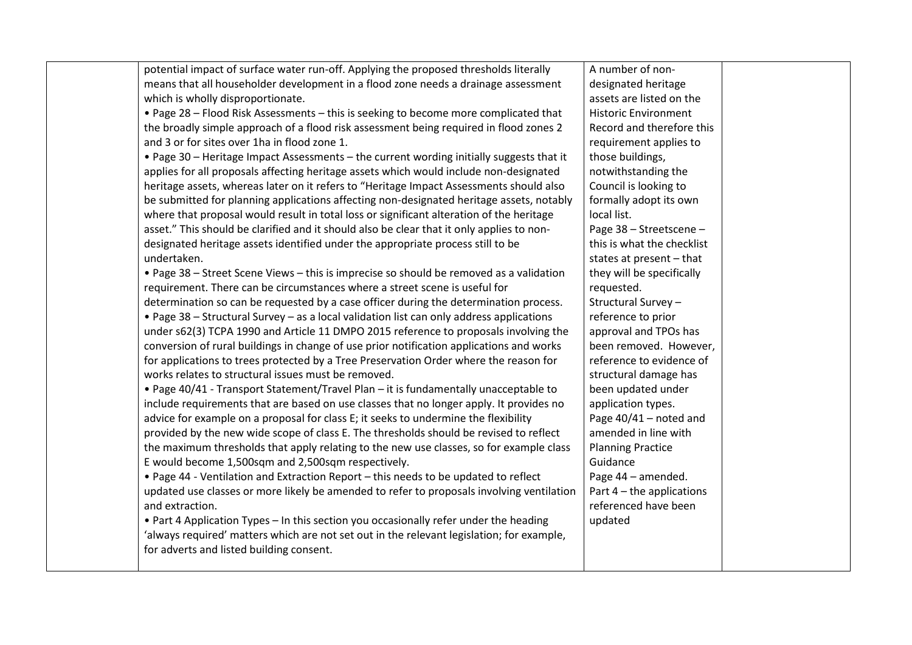| potential impact of surface water run-off. Applying the proposed thresholds literally<br>means that all householder development in a flood zone needs a drainage assessment<br>which is wholly disproportionate.<br>. Page 28 - Flood Risk Assessments - this is seeking to become more complicated that<br>the broadly simple approach of a flood risk assessment being required in flood zones 2<br>and 3 or for sites over 1ha in flood zone 1.<br>. Page 30 - Heritage Impact Assessments - the current wording initially suggests that it<br>applies for all proposals affecting heritage assets which would include non-designated<br>heritage assets, whereas later on it refers to "Heritage Impact Assessments should also<br>be submitted for planning applications affecting non-designated heritage assets, notably<br>where that proposal would result in total loss or significant alteration of the heritage<br>asset." This should be clarified and it should also be clear that it only applies to non-<br>designated heritage assets identified under the appropriate process still to be<br>undertaken.<br>• Page 38 - Street Scene Views - this is imprecise so should be removed as a validation<br>requirement. There can be circumstances where a street scene is useful for<br>determination so can be requested by a case officer during the determination process.<br>. Page 38 - Structural Survey - as a local validation list can only address applications<br>under s62(3) TCPA 1990 and Article 11 DMPO 2015 reference to proposals involving the<br>conversion of rural buildings in change of use prior notification applications and works<br>for applications to trees protected by a Tree Preservation Order where the reason for<br>works relates to structural issues must be removed.<br>. Page 40/41 - Transport Statement/Travel Plan - it is fundamentally unacceptable to<br>include requirements that are based on use classes that no longer apply. It provides no<br>advice for example on a proposal for class E; it seeks to undermine the flexibility<br>provided by the new wide scope of class E. The thresholds should be revised to reflect | A number of non-<br>designated heritage<br>assets are listed on the<br><b>Historic Environment</b><br>Record and therefore this<br>requirement applies to<br>those buildings,<br>notwithstanding the<br>Council is looking to<br>formally adopt its own<br>local list.<br>Page 38 - Streetscene -<br>this is what the checklist<br>states at present $-$ that<br>they will be specifically<br>requested.<br>Structural Survey-<br>reference to prior<br>approval and TPOs has<br>been removed. However,<br>reference to evidence of<br>structural damage has<br>been updated under<br>application types.<br>Page 40/41 - noted and<br>amended in line with |
|--------------------------------------------------------------------------------------------------------------------------------------------------------------------------------------------------------------------------------------------------------------------------------------------------------------------------------------------------------------------------------------------------------------------------------------------------------------------------------------------------------------------------------------------------------------------------------------------------------------------------------------------------------------------------------------------------------------------------------------------------------------------------------------------------------------------------------------------------------------------------------------------------------------------------------------------------------------------------------------------------------------------------------------------------------------------------------------------------------------------------------------------------------------------------------------------------------------------------------------------------------------------------------------------------------------------------------------------------------------------------------------------------------------------------------------------------------------------------------------------------------------------------------------------------------------------------------------------------------------------------------------------------------------------------------------------------------------------------------------------------------------------------------------------------------------------------------------------------------------------------------------------------------------------------------------------------------------------------------------------------------------------------------------------------------------------------------------------------------------------------------------------------------------------------------------------------|------------------------------------------------------------------------------------------------------------------------------------------------------------------------------------------------------------------------------------------------------------------------------------------------------------------------------------------------------------------------------------------------------------------------------------------------------------------------------------------------------------------------------------------------------------------------------------------------------------------------------------------------------------|
| the maximum thresholds that apply relating to the new use classes, so for example class<br>E would become 1,500sqm and 2,500sqm respectively.<br>. Page 44 - Ventilation and Extraction Report - this needs to be updated to reflect<br>updated use classes or more likely be amended to refer to proposals involving ventilation<br>and extraction.<br>• Part 4 Application Types - In this section you occasionally refer under the heading<br>'always required' matters which are not set out in the relevant legislation; for example,<br>for adverts and listed building consent.                                                                                                                                                                                                                                                                                                                                                                                                                                                                                                                                                                                                                                                                                                                                                                                                                                                                                                                                                                                                                                                                                                                                                                                                                                                                                                                                                                                                                                                                                                                                                                                                           | <b>Planning Practice</b><br>Guidance<br>Page 44 - amended.<br>Part $4$ – the applications<br>referenced have been<br>updated                                                                                                                                                                                                                                                                                                                                                                                                                                                                                                                               |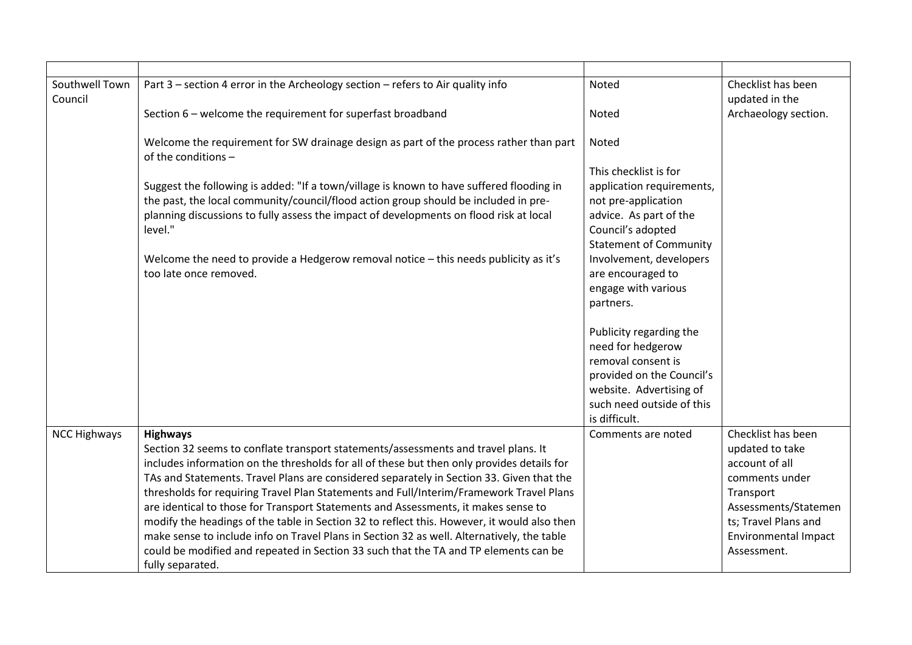| Southwell Town<br>Council | Part 3 - section 4 error in the Archeology section - refers to Air quality info                                                                                                 | Noted                                              | Checklist has been<br>updated in the |
|---------------------------|---------------------------------------------------------------------------------------------------------------------------------------------------------------------------------|----------------------------------------------------|--------------------------------------|
|                           | Section 6 - welcome the requirement for superfast broadband                                                                                                                     | Noted                                              | Archaeology section.                 |
|                           | Welcome the requirement for SW drainage design as part of the process rather than part<br>of the conditions -                                                                   | Noted                                              |                                      |
|                           |                                                                                                                                                                                 | This checklist is for                              |                                      |
|                           | Suggest the following is added: "If a town/village is known to have suffered flooding in<br>the past, the local community/council/flood action group should be included in pre- | application requirements,<br>not pre-application   |                                      |
|                           | planning discussions to fully assess the impact of developments on flood risk at local                                                                                          | advice. As part of the                             |                                      |
|                           | level."                                                                                                                                                                         | Council's adopted<br><b>Statement of Community</b> |                                      |
|                           | Welcome the need to provide a Hedgerow removal notice - this needs publicity as it's<br>too late once removed.                                                                  | Involvement, developers<br>are encouraged to       |                                      |
|                           |                                                                                                                                                                                 | engage with various                                |                                      |
|                           |                                                                                                                                                                                 | partners.                                          |                                      |
|                           |                                                                                                                                                                                 | Publicity regarding the                            |                                      |
|                           |                                                                                                                                                                                 | need for hedgerow<br>removal consent is            |                                      |
|                           |                                                                                                                                                                                 | provided on the Council's                          |                                      |
|                           |                                                                                                                                                                                 | website. Advertising of                            |                                      |
|                           |                                                                                                                                                                                 | such need outside of this<br>is difficult.         |                                      |
| <b>NCC Highways</b>       | <b>Highways</b>                                                                                                                                                                 | Comments are noted                                 | Checklist has been                   |
|                           | Section 32 seems to conflate transport statements/assessments and travel plans. It                                                                                              |                                                    | updated to take                      |
|                           | includes information on the thresholds for all of these but then only provides details for                                                                                      |                                                    | account of all                       |
|                           | TAs and Statements. Travel Plans are considered separately in Section 33. Given that the                                                                                        |                                                    | comments under                       |
|                           | thresholds for requiring Travel Plan Statements and Full/Interim/Framework Travel Plans                                                                                         |                                                    | Transport                            |
|                           | are identical to those for Transport Statements and Assessments, it makes sense to                                                                                              |                                                    | Assessments/Statemen                 |
|                           | modify the headings of the table in Section 32 to reflect this. However, it would also then                                                                                     |                                                    | ts; Travel Plans and                 |
|                           | make sense to include info on Travel Plans in Section 32 as well. Alternatively, the table                                                                                      |                                                    | <b>Environmental Impact</b>          |
|                           | could be modified and repeated in Section 33 such that the TA and TP elements can be<br>fully separated.                                                                        |                                                    | Assessment.                          |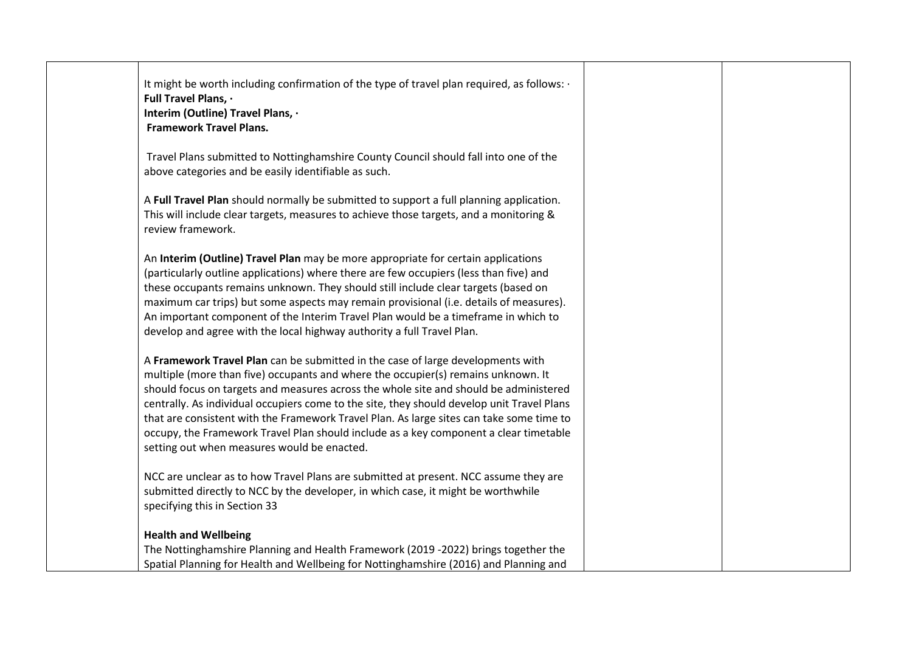| It might be worth including confirmation of the type of travel plan required, as follows: .<br>Full Travel Plans, .<br>Interim (Outline) Travel Plans, .<br><b>Framework Travel Plans.</b>                                                                                                                                                                                                                                                                                                                                                                                                      |  |
|-------------------------------------------------------------------------------------------------------------------------------------------------------------------------------------------------------------------------------------------------------------------------------------------------------------------------------------------------------------------------------------------------------------------------------------------------------------------------------------------------------------------------------------------------------------------------------------------------|--|
| Travel Plans submitted to Nottinghamshire County Council should fall into one of the<br>above categories and be easily identifiable as such.                                                                                                                                                                                                                                                                                                                                                                                                                                                    |  |
| A Full Travel Plan should normally be submitted to support a full planning application.<br>This will include clear targets, measures to achieve those targets, and a monitoring &<br>review framework.                                                                                                                                                                                                                                                                                                                                                                                          |  |
| An Interim (Outline) Travel Plan may be more appropriate for certain applications<br>(particularly outline applications) where there are few occupiers (less than five) and<br>these occupants remains unknown. They should still include clear targets (based on<br>maximum car trips) but some aspects may remain provisional (i.e. details of measures).<br>An important component of the Interim Travel Plan would be a timeframe in which to<br>develop and agree with the local highway authority a full Travel Plan.                                                                     |  |
| A Framework Travel Plan can be submitted in the case of large developments with<br>multiple (more than five) occupants and where the occupier(s) remains unknown. It<br>should focus on targets and measures across the whole site and should be administered<br>centrally. As individual occupiers come to the site, they should develop unit Travel Plans<br>that are consistent with the Framework Travel Plan. As large sites can take some time to<br>occupy, the Framework Travel Plan should include as a key component a clear timetable<br>setting out when measures would be enacted. |  |
| NCC are unclear as to how Travel Plans are submitted at present. NCC assume they are<br>submitted directly to NCC by the developer, in which case, it might be worthwhile<br>specifying this in Section 33                                                                                                                                                                                                                                                                                                                                                                                      |  |
| <b>Health and Wellbeing</b><br>The Nottinghamshire Planning and Health Framework (2019 -2022) brings together the<br>Spatial Planning for Health and Wellbeing for Nottinghamshire (2016) and Planning and                                                                                                                                                                                                                                                                                                                                                                                      |  |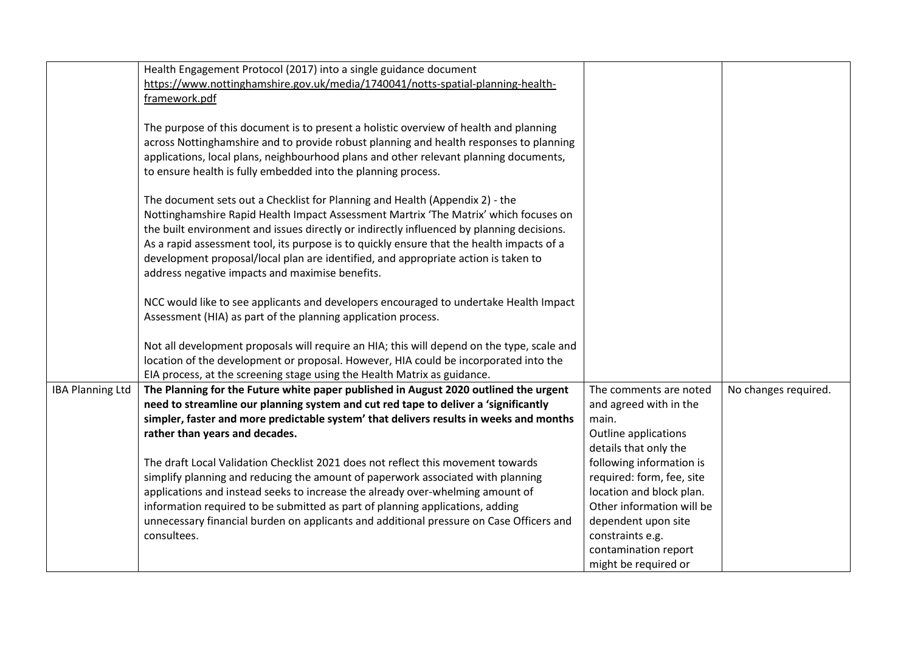|                         | Health Engagement Protocol (2017) into a single guidance document                          |                           |                      |
|-------------------------|--------------------------------------------------------------------------------------------|---------------------------|----------------------|
|                         | https://www.nottinghamshire.gov.uk/media/1740041/notts-spatial-planning-health-            |                           |                      |
|                         | framework.pdf                                                                              |                           |                      |
|                         |                                                                                            |                           |                      |
|                         | The purpose of this document is to present a holistic overview of health and planning      |                           |                      |
|                         | across Nottinghamshire and to provide robust planning and health responses to planning     |                           |                      |
|                         | applications, local plans, neighbourhood plans and other relevant planning documents,      |                           |                      |
|                         | to ensure health is fully embedded into the planning process.                              |                           |                      |
|                         | The document sets out a Checklist for Planning and Health (Appendix 2) - the               |                           |                      |
|                         | Nottinghamshire Rapid Health Impact Assessment Martrix 'The Matrix' which focuses on       |                           |                      |
|                         | the built environment and issues directly or indirectly influenced by planning decisions.  |                           |                      |
|                         | As a rapid assessment tool, its purpose is to quickly ensure that the health impacts of a  |                           |                      |
|                         | development proposal/local plan are identified, and appropriate action is taken to         |                           |                      |
|                         | address negative impacts and maximise benefits.                                            |                           |                      |
|                         |                                                                                            |                           |                      |
|                         | NCC would like to see applicants and developers encouraged to undertake Health Impact      |                           |                      |
|                         | Assessment (HIA) as part of the planning application process.                              |                           |                      |
|                         | Not all development proposals will require an HIA; this will depend on the type, scale and |                           |                      |
|                         | location of the development or proposal. However, HIA could be incorporated into the       |                           |                      |
|                         | EIA process, at the screening stage using the Health Matrix as guidance.                   |                           |                      |
| <b>IBA Planning Ltd</b> | The Planning for the Future white paper published in August 2020 outlined the urgent       | The comments are noted    | No changes required. |
|                         | need to streamline our planning system and cut red tape to deliver a 'significantly        | and agreed with in the    |                      |
|                         | simpler, faster and more predictable system' that delivers results in weeks and months     | main.                     |                      |
|                         | rather than years and decades.                                                             | Outline applications      |                      |
|                         |                                                                                            | details that only the     |                      |
|                         | The draft Local Validation Checklist 2021 does not reflect this movement towards           | following information is  |                      |
|                         | simplify planning and reducing the amount of paperwork associated with planning            | required: form, fee, site |                      |
|                         | applications and instead seeks to increase the already over-whelming amount of             | location and block plan.  |                      |
|                         | information required to be submitted as part of planning applications, adding              | Other information will be |                      |
|                         | unnecessary financial burden on applicants and additional pressure on Case Officers and    | dependent upon site       |                      |
|                         | consultees.                                                                                | constraints e.g.          |                      |
|                         |                                                                                            | contamination report      |                      |
|                         |                                                                                            | might be required or      |                      |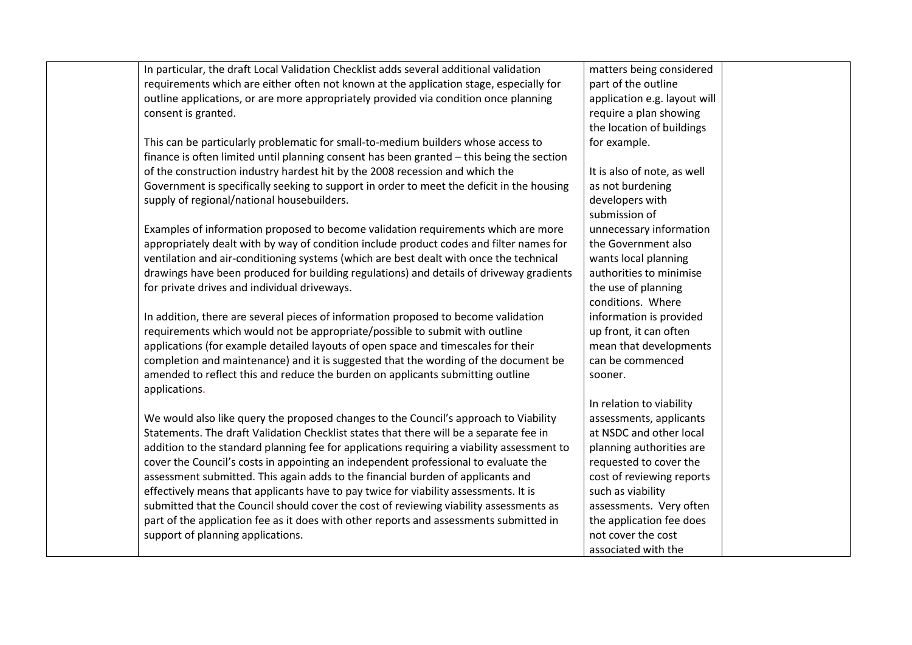| In particular, the draft Local Validation Checklist adds several additional validation     | matters being considered     |
|--------------------------------------------------------------------------------------------|------------------------------|
| requirements which are either often not known at the application stage, especially for     | part of the outline          |
| outline applications, or are more appropriately provided via condition once planning       | application e.g. layout will |
| consent is granted.                                                                        | require a plan showing       |
|                                                                                            | the location of buildings    |
| This can be particularly problematic for small-to-medium builders whose access to          | for example.                 |
| finance is often limited until planning consent has been granted - this being the section  |                              |
| of the construction industry hardest hit by the 2008 recession and which the               | It is also of note, as well  |
| Government is specifically seeking to support in order to meet the deficit in the housing  | as not burdening             |
| supply of regional/national housebuilders.                                                 | developers with              |
|                                                                                            | submission of                |
| Examples of information proposed to become validation requirements which are more          | unnecessary information      |
| appropriately dealt with by way of condition include product codes and filter names for    | the Government also          |
| ventilation and air-conditioning systems (which are best dealt with once the technical     | wants local planning         |
| drawings have been produced for building regulations) and details of driveway gradients    | authorities to minimise      |
| for private drives and individual driveways.                                               | the use of planning          |
|                                                                                            | conditions. Where            |
| In addition, there are several pieces of information proposed to become validation         | information is provided      |
| requirements which would not be appropriate/possible to submit with outline                | up front, it can often       |
| applications (for example detailed layouts of open space and timescales for their          | mean that developments       |
| completion and maintenance) and it is suggested that the wording of the document be        | can be commenced             |
| amended to reflect this and reduce the burden on applicants submitting outline             | sooner.                      |
| applications.                                                                              |                              |
|                                                                                            | In relation to viability     |
| We would also like query the proposed changes to the Council's approach to Viability       | assessments, applicants      |
| Statements. The draft Validation Checklist states that there will be a separate fee in     | at NSDC and other local      |
| addition to the standard planning fee for applications requiring a viability assessment to | planning authorities are     |
| cover the Council's costs in appointing an independent professional to evaluate the        | requested to cover the       |
| assessment submitted. This again adds to the financial burden of applicants and            | cost of reviewing reports    |
| effectively means that applicants have to pay twice for viability assessments. It is       | such as viability            |
| submitted that the Council should cover the cost of reviewing viability assessments as     | assessments. Very often      |
| part of the application fee as it does with other reports and assessments submitted in     | the application fee does     |
| support of planning applications.                                                          | not cover the cost           |
|                                                                                            | associated with the          |
|                                                                                            |                              |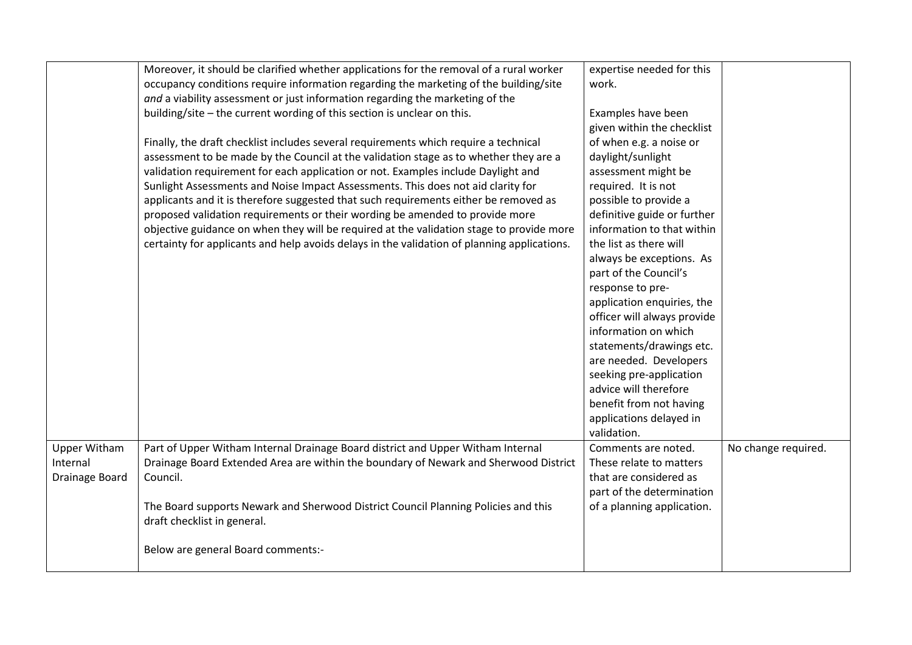|                     | Moreover, it should be clarified whether applications for the removal of a rural worker     | expertise needed for this   |                     |
|---------------------|---------------------------------------------------------------------------------------------|-----------------------------|---------------------|
|                     | occupancy conditions require information regarding the marketing of the building/site       | work.                       |                     |
|                     | and a viability assessment or just information regarding the marketing of the               |                             |                     |
|                     | building/site - the current wording of this section is unclear on this.                     | Examples have been          |                     |
|                     |                                                                                             | given within the checklist  |                     |
|                     | Finally, the draft checklist includes several requirements which require a technical        | of when e.g. a noise or     |                     |
|                     | assessment to be made by the Council at the validation stage as to whether they are a       | daylight/sunlight           |                     |
|                     | validation requirement for each application or not. Examples include Daylight and           | assessment might be         |                     |
|                     | Sunlight Assessments and Noise Impact Assessments. This does not aid clarity for            | required. It is not         |                     |
|                     | applicants and it is therefore suggested that such requirements either be removed as        | possible to provide a       |                     |
|                     | proposed validation requirements or their wording be amended to provide more                | definitive guide or further |                     |
|                     | objective guidance on when they will be required at the validation stage to provide more    | information to that within  |                     |
|                     | certainty for applicants and help avoids delays in the validation of planning applications. | the list as there will      |                     |
|                     |                                                                                             | always be exceptions. As    |                     |
|                     |                                                                                             | part of the Council's       |                     |
|                     |                                                                                             | response to pre-            |                     |
|                     |                                                                                             | application enquiries, the  |                     |
|                     |                                                                                             | officer will always provide |                     |
|                     |                                                                                             | information on which        |                     |
|                     |                                                                                             | statements/drawings etc.    |                     |
|                     |                                                                                             | are needed. Developers      |                     |
|                     |                                                                                             | seeking pre-application     |                     |
|                     |                                                                                             | advice will therefore       |                     |
|                     |                                                                                             | benefit from not having     |                     |
|                     |                                                                                             | applications delayed in     |                     |
|                     |                                                                                             | validation.                 |                     |
| <b>Upper Witham</b> | Part of Upper Witham Internal Drainage Board district and Upper Witham Internal             | Comments are noted.         | No change required. |
| Internal            | Drainage Board Extended Area are within the boundary of Newark and Sherwood District        | These relate to matters     |                     |
| Drainage Board      | Council.                                                                                    | that are considered as      |                     |
|                     |                                                                                             | part of the determination   |                     |
|                     | The Board supports Newark and Sherwood District Council Planning Policies and this          | of a planning application.  |                     |
|                     | draft checklist in general.                                                                 |                             |                     |
|                     |                                                                                             |                             |                     |
|                     | Below are general Board comments:-                                                          |                             |                     |
|                     |                                                                                             |                             |                     |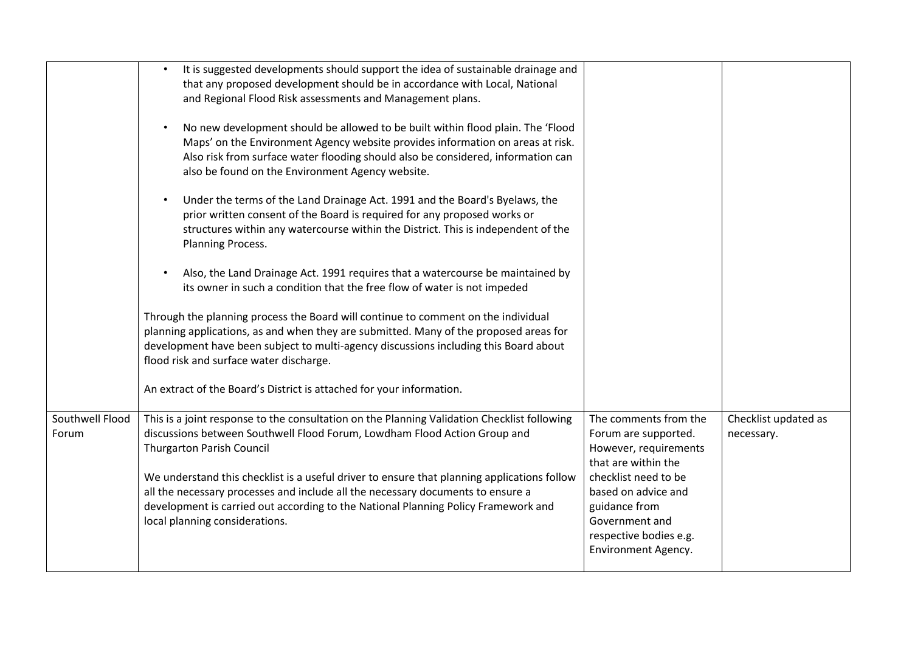|                          | It is suggested developments should support the idea of sustainable drainage and<br>that any proposed development should be in accordance with Local, National<br>and Regional Flood Risk assessments and Management plans.<br>No new development should be allowed to be built within flood plain. The 'Flood<br>Maps' on the Environment Agency website provides information on areas at risk.<br>Also risk from surface water flooding should also be considered, information can<br>also be found on the Environment Agency website.<br>Under the terms of the Land Drainage Act. 1991 and the Board's Byelaws, the<br>prior written consent of the Board is required for any proposed works or<br>structures within any watercourse within the District. This is independent of the<br>Planning Process.<br>Also, the Land Drainage Act. 1991 requires that a watercourse be maintained by<br>its owner in such a condition that the free flow of water is not impeded<br>Through the planning process the Board will continue to comment on the individual<br>planning applications, as and when they are submitted. Many of the proposed areas for<br>development have been subject to multi-agency discussions including this Board about<br>flood risk and surface water discharge.<br>An extract of the Board's District is attached for your information. |                                                                                                                                                                                                                                         |                                    |
|--------------------------|----------------------------------------------------------------------------------------------------------------------------------------------------------------------------------------------------------------------------------------------------------------------------------------------------------------------------------------------------------------------------------------------------------------------------------------------------------------------------------------------------------------------------------------------------------------------------------------------------------------------------------------------------------------------------------------------------------------------------------------------------------------------------------------------------------------------------------------------------------------------------------------------------------------------------------------------------------------------------------------------------------------------------------------------------------------------------------------------------------------------------------------------------------------------------------------------------------------------------------------------------------------------------------------------------------------------------------------------------------------------|-----------------------------------------------------------------------------------------------------------------------------------------------------------------------------------------------------------------------------------------|------------------------------------|
| Southwell Flood<br>Forum | This is a joint response to the consultation on the Planning Validation Checklist following<br>discussions between Southwell Flood Forum, Lowdham Flood Action Group and<br>Thurgarton Parish Council<br>We understand this checklist is a useful driver to ensure that planning applications follow<br>all the necessary processes and include all the necessary documents to ensure a<br>development is carried out according to the National Planning Policy Framework and<br>local planning considerations.                                                                                                                                                                                                                                                                                                                                                                                                                                                                                                                                                                                                                                                                                                                                                                                                                                                      | The comments from the<br>Forum are supported.<br>However, requirements<br>that are within the<br>checklist need to be<br>based on advice and<br>guidance from<br>Government and<br>respective bodies e.g.<br><b>Environment Agency.</b> | Checklist updated as<br>necessary. |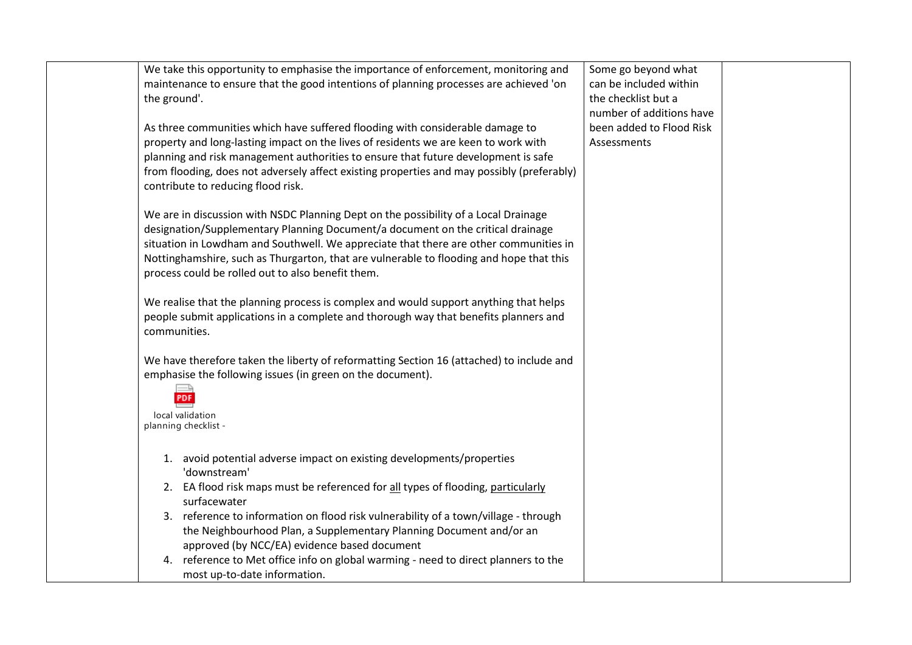| We take this opportunity to emphasise the importance of enforcement, monitoring and<br>maintenance to ensure that the good intentions of planning processes are achieved 'on<br>the ground'.<br>As three communities which have suffered flooding with considerable damage to<br>property and long-lasting impact on the lives of residents we are keen to work with<br>planning and risk management authorities to ensure that future development is safe<br>from flooding, does not adversely affect existing properties and may possibly (preferably)<br>contribute to reducing flood risk.<br>We are in discussion with NSDC Planning Dept on the possibility of a Local Drainage<br>designation/Supplementary Planning Document/a document on the critical drainage<br>situation in Lowdham and Southwell. We appreciate that there are other communities in<br>Nottinghamshire, such as Thurgarton, that are vulnerable to flooding and hope that this<br>process could be rolled out to also benefit them.<br>We realise that the planning process is complex and would support anything that helps<br>people submit applications in a complete and thorough way that benefits planners and<br>communities.<br>We have therefore taken the liberty of reformatting Section 16 (attached) to include and<br>emphasise the following issues (in green on the document).<br>PDF<br>local validation | Some go beyond what<br>can be included within<br>the checklist but a<br>number of additions have<br>been added to Flood Risk<br>Assessments |  |
|---------------------------------------------------------------------------------------------------------------------------------------------------------------------------------------------------------------------------------------------------------------------------------------------------------------------------------------------------------------------------------------------------------------------------------------------------------------------------------------------------------------------------------------------------------------------------------------------------------------------------------------------------------------------------------------------------------------------------------------------------------------------------------------------------------------------------------------------------------------------------------------------------------------------------------------------------------------------------------------------------------------------------------------------------------------------------------------------------------------------------------------------------------------------------------------------------------------------------------------------------------------------------------------------------------------------------------------------------------------------------------------------------------|---------------------------------------------------------------------------------------------------------------------------------------------|--|
| planning checklist -<br>1. avoid potential adverse impact on existing developments/properties<br>'downstream'<br>2. EA flood risk maps must be referenced for all types of flooding, particularly<br>surfacewater<br>3. reference to information on flood risk vulnerability of a town/village - through<br>the Neighbourhood Plan, a Supplementary Planning Document and/or an<br>approved (by NCC/EA) evidence based document<br>4. reference to Met office info on global warming - need to direct planners to the<br>most up-to-date information.                                                                                                                                                                                                                                                                                                                                                                                                                                                                                                                                                                                                                                                                                                                                                                                                                                                   |                                                                                                                                             |  |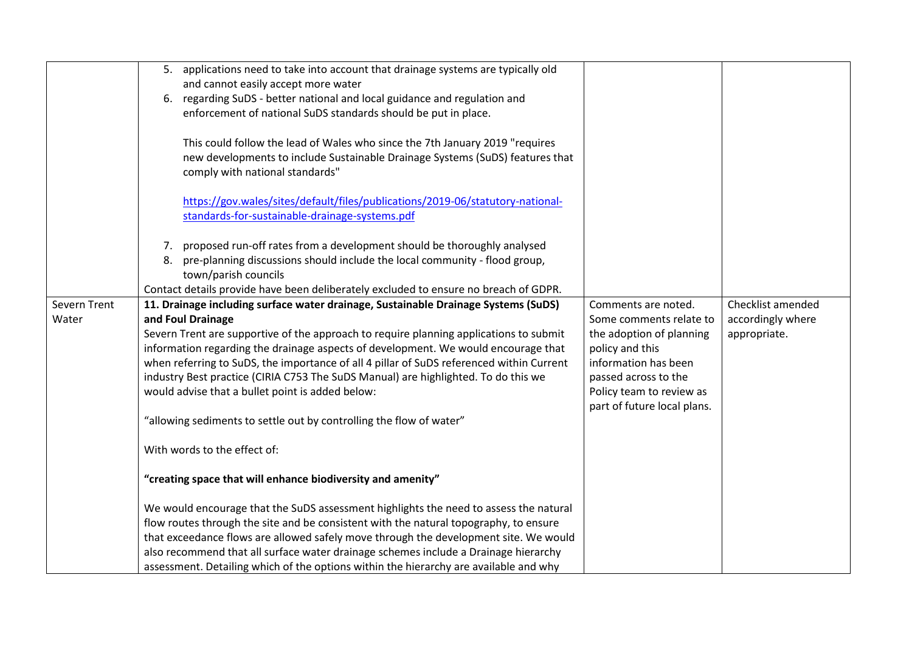|              | 5. applications need to take into account that drainage systems are typically old        |                             |                   |
|--------------|------------------------------------------------------------------------------------------|-----------------------------|-------------------|
|              | and cannot easily accept more water                                                      |                             |                   |
|              | 6. regarding SuDS - better national and local guidance and regulation and                |                             |                   |
|              | enforcement of national SuDS standards should be put in place.                           |                             |                   |
|              |                                                                                          |                             |                   |
|              | This could follow the lead of Wales who since the 7th January 2019 "requires             |                             |                   |
|              | new developments to include Sustainable Drainage Systems (SuDS) features that            |                             |                   |
|              | comply with national standards"                                                          |                             |                   |
|              |                                                                                          |                             |                   |
|              | https://gov.wales/sites/default/files/publications/2019-06/statutory-national-           |                             |                   |
|              | standards-for-sustainable-drainage-systems.pdf                                           |                             |                   |
|              |                                                                                          |                             |                   |
|              | 7. proposed run-off rates from a development should be thoroughly analysed               |                             |                   |
|              | 8. pre-planning discussions should include the local community - flood group,            |                             |                   |
|              | town/parish councils                                                                     |                             |                   |
|              | Contact details provide have been deliberately excluded to ensure no breach of GDPR.     |                             |                   |
| Severn Trent | 11. Drainage including surface water drainage, Sustainable Drainage Systems (SuDS)       | Comments are noted.         | Checklist amended |
| Water        | and Foul Drainage                                                                        | Some comments relate to     | accordingly where |
|              | Severn Trent are supportive of the approach to require planning applications to submit   | the adoption of planning    | appropriate.      |
|              | information regarding the drainage aspects of development. We would encourage that       | policy and this             |                   |
|              | when referring to SuDS, the importance of all 4 pillar of SuDS referenced within Current | information has been        |                   |
|              | industry Best practice (CIRIA C753 The SuDS Manual) are highlighted. To do this we       | passed across to the        |                   |
|              | would advise that a bullet point is added below:                                         | Policy team to review as    |                   |
|              |                                                                                          | part of future local plans. |                   |
|              | "allowing sediments to settle out by controlling the flow of water"                      |                             |                   |
|              | With words to the effect of:                                                             |                             |                   |
|              | "creating space that will enhance biodiversity and amenity"                              |                             |                   |
|              | We would encourage that the SuDS assessment highlights the need to assess the natural    |                             |                   |
|              | flow routes through the site and be consistent with the natural topography, to ensure    |                             |                   |
|              | that exceedance flows are allowed safely move through the development site. We would     |                             |                   |
|              | also recommend that all surface water drainage schemes include a Drainage hierarchy      |                             |                   |
|              | assessment. Detailing which of the options within the hierarchy are available and why    |                             |                   |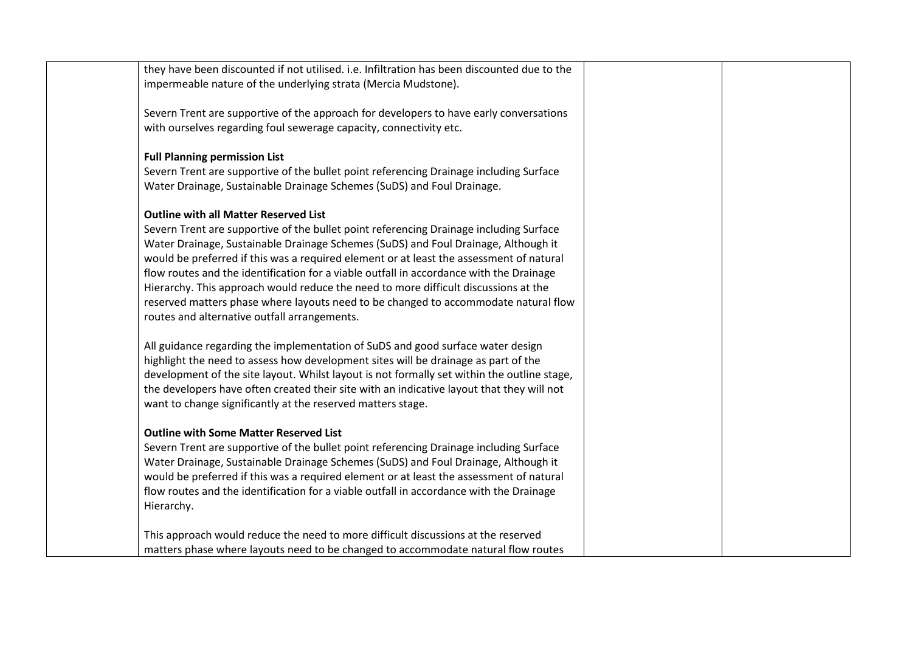| they have been discounted if not utilised. i.e. Infiltration has been discounted due to the<br>impermeable nature of the underlying strata (Mercia Mudstone).                                                                                                                                                                                                                                                                                                                                                                                                                                                                                    |  |
|--------------------------------------------------------------------------------------------------------------------------------------------------------------------------------------------------------------------------------------------------------------------------------------------------------------------------------------------------------------------------------------------------------------------------------------------------------------------------------------------------------------------------------------------------------------------------------------------------------------------------------------------------|--|
| Severn Trent are supportive of the approach for developers to have early conversations<br>with ourselves regarding foul sewerage capacity, connectivity etc.                                                                                                                                                                                                                                                                                                                                                                                                                                                                                     |  |
| <b>Full Planning permission List</b><br>Severn Trent are supportive of the bullet point referencing Drainage including Surface<br>Water Drainage, Sustainable Drainage Schemes (SuDS) and Foul Drainage.                                                                                                                                                                                                                                                                                                                                                                                                                                         |  |
| <b>Outline with all Matter Reserved List</b><br>Severn Trent are supportive of the bullet point referencing Drainage including Surface<br>Water Drainage, Sustainable Drainage Schemes (SuDS) and Foul Drainage, Although it<br>would be preferred if this was a required element or at least the assessment of natural<br>flow routes and the identification for a viable outfall in accordance with the Drainage<br>Hierarchy. This approach would reduce the need to more difficult discussions at the<br>reserved matters phase where layouts need to be changed to accommodate natural flow<br>routes and alternative outfall arrangements. |  |
| All guidance regarding the implementation of SuDS and good surface water design<br>highlight the need to assess how development sites will be drainage as part of the<br>development of the site layout. Whilst layout is not formally set within the outline stage,<br>the developers have often created their site with an indicative layout that they will not<br>want to change significantly at the reserved matters stage.                                                                                                                                                                                                                 |  |
| <b>Outline with Some Matter Reserved List</b><br>Severn Trent are supportive of the bullet point referencing Drainage including Surface<br>Water Drainage, Sustainable Drainage Schemes (SuDS) and Foul Drainage, Although it<br>would be preferred if this was a required element or at least the assessment of natural<br>flow routes and the identification for a viable outfall in accordance with the Drainage<br>Hierarchy.                                                                                                                                                                                                                |  |
| This approach would reduce the need to more difficult discussions at the reserved<br>matters phase where layouts need to be changed to accommodate natural flow routes                                                                                                                                                                                                                                                                                                                                                                                                                                                                           |  |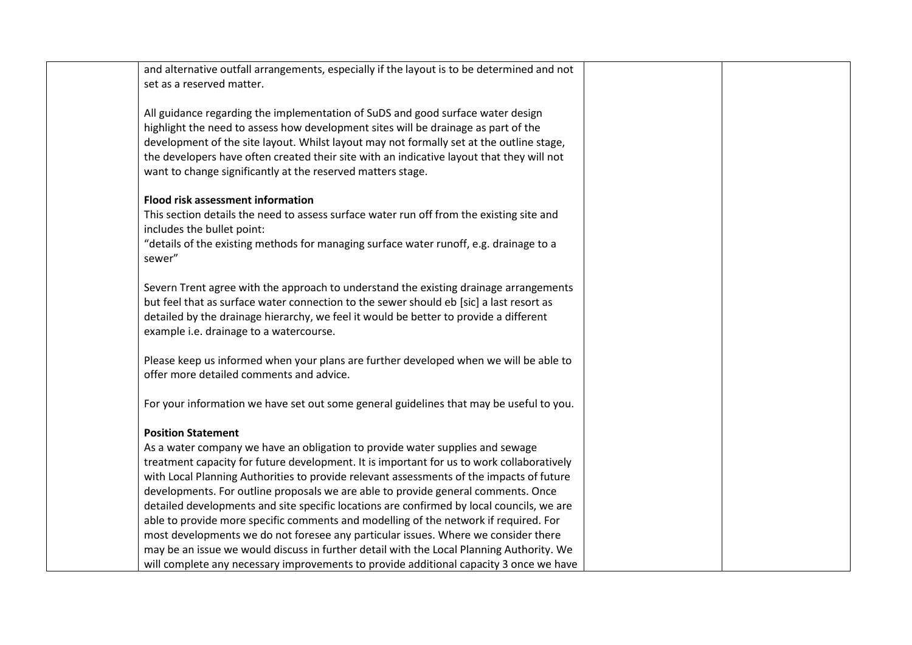| and alternative outfall arrangements, especially if the layout is to be determined and not<br>set as a reserved matter.          |  |
|----------------------------------------------------------------------------------------------------------------------------------|--|
|                                                                                                                                  |  |
| All guidance regarding the implementation of SuDS and good surface water design                                                  |  |
| highlight the need to assess how development sites will be drainage as part of the                                               |  |
| development of the site layout. Whilst layout may not formally set at the outline stage,                                         |  |
| the developers have often created their site with an indicative layout that they will not                                        |  |
| want to change significantly at the reserved matters stage.                                                                      |  |
| <b>Flood risk assessment information</b>                                                                                         |  |
| This section details the need to assess surface water run off from the existing site and                                         |  |
| includes the bullet point:                                                                                                       |  |
| "details of the existing methods for managing surface water runoff, e.g. drainage to a                                           |  |
| sewer"                                                                                                                           |  |
|                                                                                                                                  |  |
| Severn Trent agree with the approach to understand the existing drainage arrangements                                            |  |
| but feel that as surface water connection to the sewer should eb [sic] a last resort as                                          |  |
| detailed by the drainage hierarchy, we feel it would be better to provide a different<br>example i.e. drainage to a watercourse. |  |
|                                                                                                                                  |  |
| Please keep us informed when your plans are further developed when we will be able to                                            |  |
| offer more detailed comments and advice.                                                                                         |  |
|                                                                                                                                  |  |
| For your information we have set out some general guidelines that may be useful to you.                                          |  |
| <b>Position Statement</b>                                                                                                        |  |
| As a water company we have an obligation to provide water supplies and sewage                                                    |  |
| treatment capacity for future development. It is important for us to work collaboratively                                        |  |
| with Local Planning Authorities to provide relevant assessments of the impacts of future                                         |  |
| developments. For outline proposals we are able to provide general comments. Once                                                |  |
| detailed developments and site specific locations are confirmed by local councils, we are                                        |  |
| able to provide more specific comments and modelling of the network if required. For                                             |  |
| most developments we do not foresee any particular issues. Where we consider there                                               |  |
| may be an issue we would discuss in further detail with the Local Planning Authority. We                                         |  |
| will complete any necessary improvements to provide additional capacity 3 once we have                                           |  |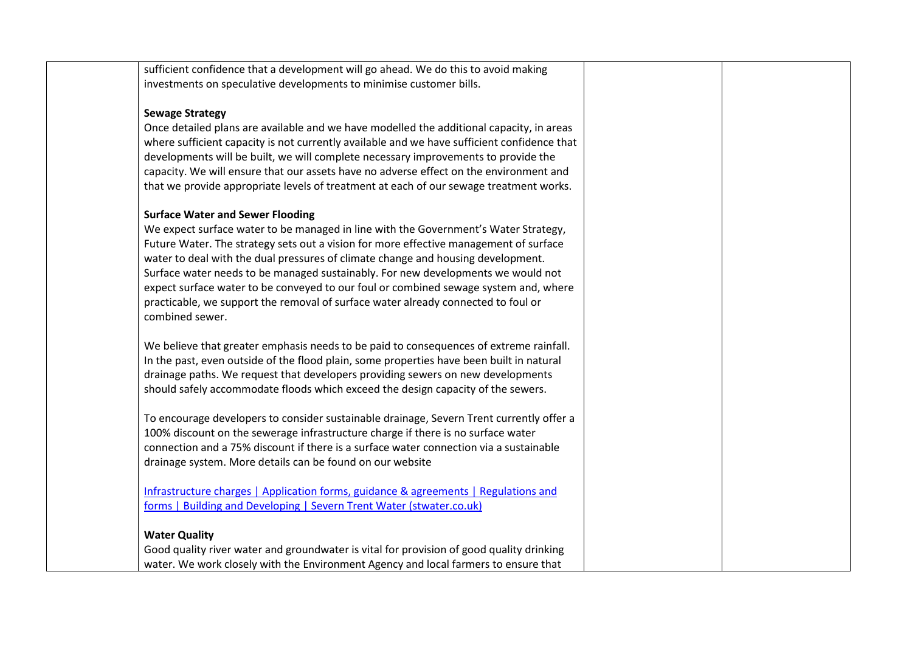| sufficient confidence that a development will go ahead. We do this to avoid making          |  |
|---------------------------------------------------------------------------------------------|--|
| investments on speculative developments to minimise customer bills.                         |  |
|                                                                                             |  |
| <b>Sewage Strategy</b>                                                                      |  |
| Once detailed plans are available and we have modelled the additional capacity, in areas    |  |
| where sufficient capacity is not currently available and we have sufficient confidence that |  |
| developments will be built, we will complete necessary improvements to provide the          |  |
| capacity. We will ensure that our assets have no adverse effect on the environment and      |  |
| that we provide appropriate levels of treatment at each of our sewage treatment works.      |  |
| <b>Surface Water and Sewer Flooding</b>                                                     |  |
| We expect surface water to be managed in line with the Government's Water Strategy,         |  |
| Future Water. The strategy sets out a vision for more effective management of surface       |  |
| water to deal with the dual pressures of climate change and housing development.            |  |
| Surface water needs to be managed sustainably. For new developments we would not            |  |
| expect surface water to be conveyed to our foul or combined sewage system and, where        |  |
| practicable, we support the removal of surface water already connected to foul or           |  |
| combined sewer.                                                                             |  |
| We believe that greater emphasis needs to be paid to consequences of extreme rainfall.      |  |
| In the past, even outside of the flood plain, some properties have been built in natural    |  |
| drainage paths. We request that developers providing sewers on new developments             |  |
| should safely accommodate floods which exceed the design capacity of the sewers.            |  |
| To encourage developers to consider sustainable drainage, Severn Trent currently offer a    |  |
| 100% discount on the sewerage infrastructure charge if there is no surface water            |  |
| connection and a 75% discount if there is a surface water connection via a sustainable      |  |
| drainage system. More details can be found on our website                                   |  |
| Infrastructure charges   Application forms, guidance & agreements   Regulations and         |  |
| forms   Building and Developing   Severn Trent Water (stwater.co.uk)                        |  |
|                                                                                             |  |
| <b>Water Quality</b>                                                                        |  |
| Good quality river water and groundwater is vital for provision of good quality drinking    |  |
| water. We work closely with the Environment Agency and local farmers to ensure that         |  |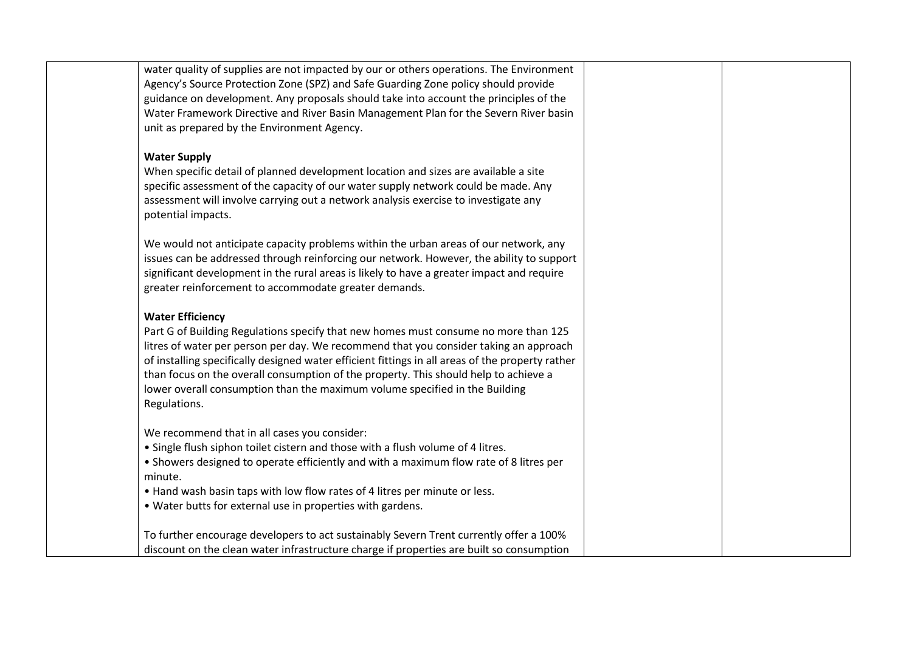| water quality of supplies are not impacted by our or others operations. The Environment<br>Agency's Source Protection Zone (SPZ) and Safe Guarding Zone policy should provide<br>guidance on development. Any proposals should take into account the principles of the<br>Water Framework Directive and River Basin Management Plan for the Severn River basin<br>unit as prepared by the Environment Agency.                                                                                      |  |
|----------------------------------------------------------------------------------------------------------------------------------------------------------------------------------------------------------------------------------------------------------------------------------------------------------------------------------------------------------------------------------------------------------------------------------------------------------------------------------------------------|--|
| <b>Water Supply</b><br>When specific detail of planned development location and sizes are available a site<br>specific assessment of the capacity of our water supply network could be made. Any<br>assessment will involve carrying out a network analysis exercise to investigate any<br>potential impacts.                                                                                                                                                                                      |  |
| We would not anticipate capacity problems within the urban areas of our network, any<br>issues can be addressed through reinforcing our network. However, the ability to support<br>significant development in the rural areas is likely to have a greater impact and require<br>greater reinforcement to accommodate greater demands.                                                                                                                                                             |  |
| <b>Water Efficiency</b><br>Part G of Building Regulations specify that new homes must consume no more than 125<br>litres of water per person per day. We recommend that you consider taking an approach<br>of installing specifically designed water efficient fittings in all areas of the property rather<br>than focus on the overall consumption of the property. This should help to achieve a<br>lower overall consumption than the maximum volume specified in the Building<br>Regulations. |  |
| We recommend that in all cases you consider:<br>• Single flush siphon toilet cistern and those with a flush volume of 4 litres.<br>. Showers designed to operate efficiently and with a maximum flow rate of 8 litres per<br>minute.<br>. Hand wash basin taps with low flow rates of 4 litres per minute or less.<br>• Water butts for external use in properties with gardens.                                                                                                                   |  |
| To further encourage developers to act sustainably Severn Trent currently offer a 100%<br>discount on the clean water infrastructure charge if properties are built so consumption                                                                                                                                                                                                                                                                                                                 |  |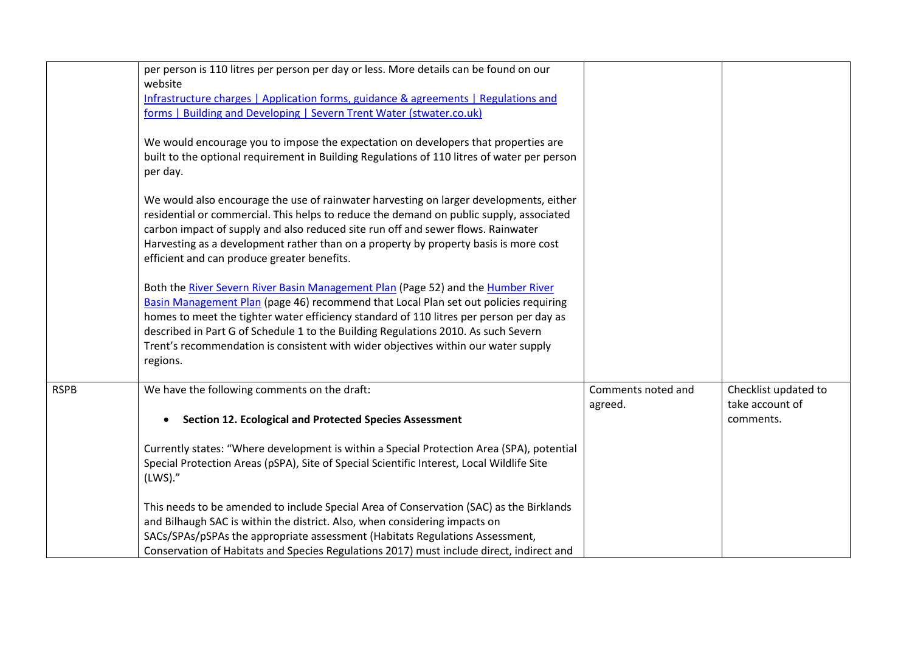|             | per person is 110 litres per person per day or less. More details can be found on our<br>website |                    |                      |
|-------------|--------------------------------------------------------------------------------------------------|--------------------|----------------------|
|             | Infrastructure charges   Application forms, guidance & agreements   Regulations and              |                    |                      |
|             | forms   Building and Developing   Severn Trent Water (stwater.co.uk)                             |                    |                      |
|             |                                                                                                  |                    |                      |
|             | We would encourage you to impose the expectation on developers that properties are               |                    |                      |
|             | built to the optional requirement in Building Regulations of 110 litres of water per person      |                    |                      |
|             | per day.                                                                                         |                    |                      |
|             |                                                                                                  |                    |                      |
|             | We would also encourage the use of rainwater harvesting on larger developments, either           |                    |                      |
|             | residential or commercial. This helps to reduce the demand on public supply, associated          |                    |                      |
|             | carbon impact of supply and also reduced site run off and sewer flows. Rainwater                 |                    |                      |
|             | Harvesting as a development rather than on a property by property basis is more cost             |                    |                      |
|             | efficient and can produce greater benefits.                                                      |                    |                      |
|             |                                                                                                  |                    |                      |
|             | Both the River Severn River Basin Management Plan (Page 52) and the Humber River                 |                    |                      |
|             | Basin Management Plan (page 46) recommend that Local Plan set out policies requiring             |                    |                      |
|             | homes to meet the tighter water efficiency standard of 110 litres per person per day as          |                    |                      |
|             | described in Part G of Schedule 1 to the Building Regulations 2010. As such Severn               |                    |                      |
|             | Trent's recommendation is consistent with wider objectives within our water supply               |                    |                      |
|             | regions.                                                                                         |                    |                      |
|             |                                                                                                  |                    |                      |
| <b>RSPB</b> | We have the following comments on the draft:                                                     | Comments noted and | Checklist updated to |
|             |                                                                                                  | agreed.            | take account of      |
|             | <b>Section 12. Ecological and Protected Species Assessment</b>                                   |                    | comments.            |
|             |                                                                                                  |                    |                      |
|             | Currently states: "Where development is within a Special Protection Area (SPA), potential        |                    |                      |
|             | Special Protection Areas (pSPA), Site of Special Scientific Interest, Local Wildlife Site        |                    |                      |
|             | (LWS).''                                                                                         |                    |                      |
|             |                                                                                                  |                    |                      |
|             | This needs to be amended to include Special Area of Conservation (SAC) as the Birklands          |                    |                      |
|             | and Bilhaugh SAC is within the district. Also, when considering impacts on                       |                    |                      |
|             | SACs/SPAs/pSPAs the appropriate assessment (Habitats Regulations Assessment,                     |                    |                      |
|             | Conservation of Habitats and Species Regulations 2017) must include direct, indirect and         |                    |                      |
|             |                                                                                                  |                    |                      |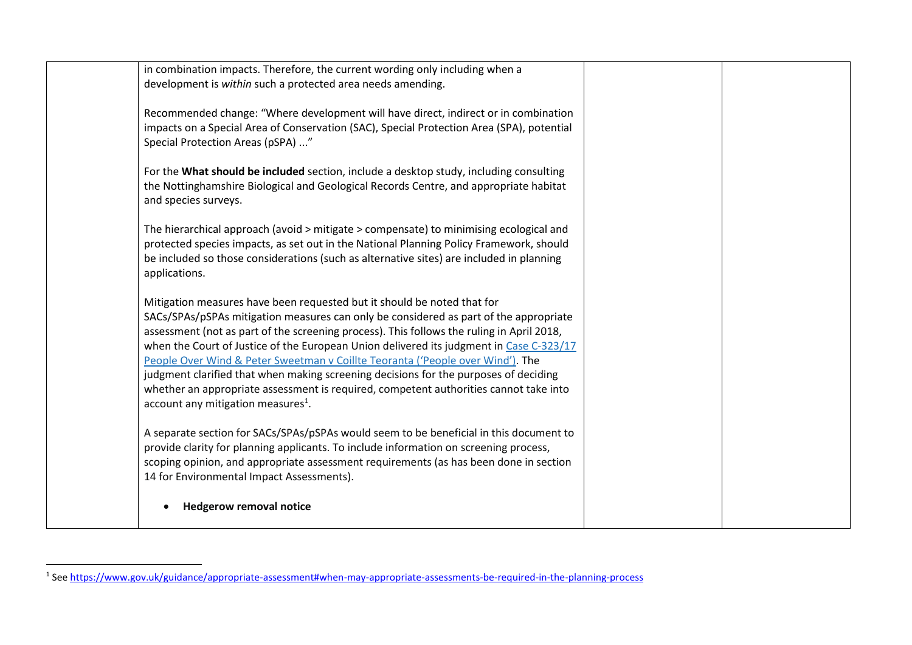|                                                | in combination impacts. Therefore, the current wording only including when a<br>development is within such a protected area needs amending.                                                                                                                                                                                                                                                                                                                                                                                                                                                                                 |  |
|------------------------------------------------|-----------------------------------------------------------------------------------------------------------------------------------------------------------------------------------------------------------------------------------------------------------------------------------------------------------------------------------------------------------------------------------------------------------------------------------------------------------------------------------------------------------------------------------------------------------------------------------------------------------------------------|--|
| Special Protection Areas (pSPA) "              | Recommended change: "Where development will have direct, indirect or in combination<br>impacts on a Special Area of Conservation (SAC), Special Protection Area (SPA), potential                                                                                                                                                                                                                                                                                                                                                                                                                                            |  |
| and species surveys.                           | For the What should be included section, include a desktop study, including consulting<br>the Nottinghamshire Biological and Geological Records Centre, and appropriate habitat                                                                                                                                                                                                                                                                                                                                                                                                                                             |  |
| applications.                                  | The hierarchical approach (avoid > mitigate > compensate) to minimising ecological and<br>protected species impacts, as set out in the National Planning Policy Framework, should<br>be included so those considerations (such as alternative sites) are included in planning                                                                                                                                                                                                                                                                                                                                               |  |
| account any mitigation measures <sup>1</sup> . | Mitigation measures have been requested but it should be noted that for<br>SACs/SPAs/pSPAs mitigation measures can only be considered as part of the appropriate<br>assessment (not as part of the screening process). This follows the ruling in April 2018,<br>when the Court of Justice of the European Union delivered its judgment in Case C-323/17<br>People Over Wind & Peter Sweetman v Coillte Teoranta ('People over Wind'). The<br>judgment clarified that when making screening decisions for the purposes of deciding<br>whether an appropriate assessment is required, competent authorities cannot take into |  |
| 14 for Environmental Impact Assessments).      | A separate section for SACs/SPAs/pSPAs would seem to be beneficial in this document to<br>provide clarity for planning applicants. To include information on screening process,<br>scoping opinion, and appropriate assessment requirements (as has been done in section                                                                                                                                                                                                                                                                                                                                                    |  |
| <b>Hedgerow removal notice</b>                 |                                                                                                                                                                                                                                                                                                                                                                                                                                                                                                                                                                                                                             |  |

 1 See<https://www.gov.uk/guidance/appropriate-assessment#when-may-appropriate-assessments-be-required-in-the-planning-process>